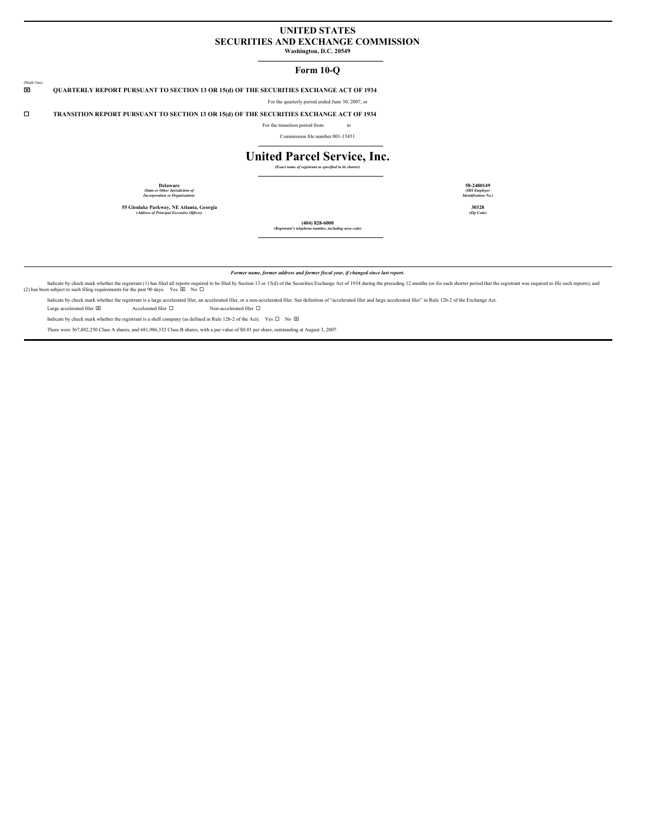## **UNITED STATES SECURITIES AND EXCHANGE COMMISSION**

**Washington, D.C. 20549**

#### **Form 10-Q**

x **QUARTERLY REPORT PURSUANT TO SECTION 13 OR 15(d) OF THE SECURITIES EXCHANGE ACT OF 1934**

For the quarterly period ended June 30, 2007, or

¨ **TRANSITION REPORT PURSUANT TO SECTION 13 OR 15(d) OF THE SECURITIES EXCHANGE ACT OF 1934**

For the transition period from to

Commission file number 001-15451

# **United Parcel Service, Inc.**

*(Exact name of registrant as specified in its charter)*

**Delaware 58-2480149** *(State or Other Jurisdiction of Incorporation or Organization)*

(Mark One)

**55 Glenlake Parkway, NE Atlanta, Georgia 30328** *(Address of Principal Executive Of ices) (Zip Code)*

*(IRS Employer Identification No.)*

**(404) 828-6000** *(Registrant's telephone number, including area code)*

*Former name, former address and former fiscal year, if changed since last report.*

Indicate by check mark whether the registrant (1) has filed all reports required to be filed by Section 13 or 15(d) of the Securities Exchange Act of 1934 during the preceding 12 months (or for such shorter period that the

Indicate by check mark whether the registrant is a large accelerated filer, an accelerated filer, or a non-accelerated filer. See definition of "accelerated filer and large accelerated filer" in Rule 12b-2 of the Exchange

Large accelerated filer  $\boxtimes$   $\hfill$  Accelerated filer  $\Box$   $\hfill$  Non-accelerated filer  $\Box$ 

Indicate by check mark whether the registrant is a shell company (as defined in Rule 12b-2 of the Act). Yes  $\Box$  No  $\boxtimes$ 

There were 367,802,250 Class A shares, and 681,986,332 Class B shares, with a par value of \$0.01 per share, outstanding at August 3, 2007.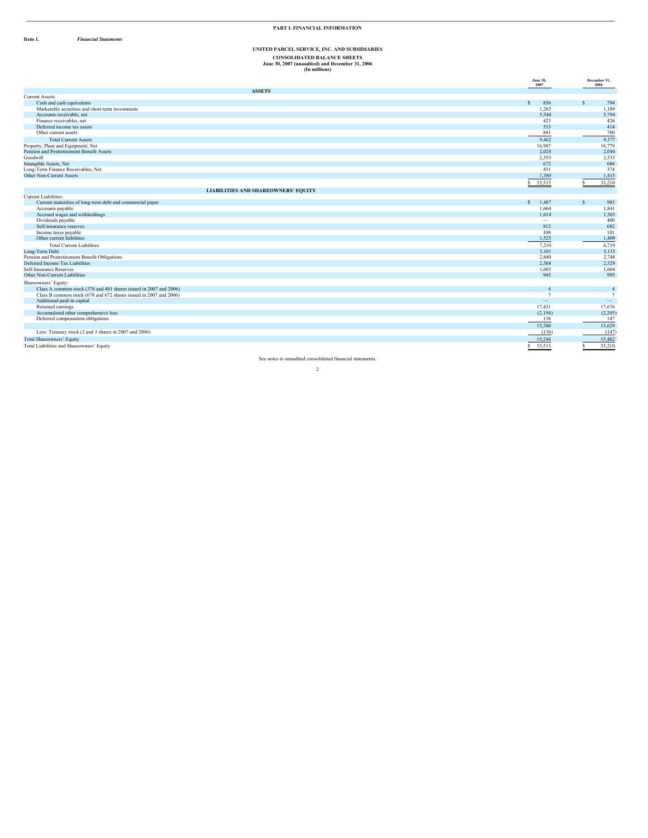**I t e m 1.** *Financial Statements* 

#### **PART I. FINANCIAL INFORMATION**

# UNITED PARCEL SERVICE, INC. AND SUBSIDIARIES CONSOLIDATED BALANCE SHEETS<br>June 30, 2007 (unaudited) and December 31, 2006<br>(In millions)

|                                                                   | <b>June 30,</b><br>2007  | December 31,<br>2006     |
|-------------------------------------------------------------------|--------------------------|--------------------------|
| <b>ASSETS</b>                                                     |                          |                          |
| Current Assets:                                                   |                          |                          |
| Cash and cash equivalents                                         | 856<br>$\mathbf{s}$      | s.<br>794                |
| Marketable securities and short-term investments                  | 1,265                    | 1,189                    |
| Accounts receivable, net                                          | 5,544                    | 5,794                    |
| Finance receivables, net                                          | 423                      | 426                      |
| Deferred income tax assets                                        | 533                      | 414                      |
| Other current assets                                              | 841                      | 760                      |
| <b>Total Current Assets</b>                                       | 9,462                    | 9,377                    |
| Property, Plant and Equipment, Net                                | 16,987                   | 16,779                   |
| Pension and Postretirement Benefit Assets                         | 2,028                    | 2,044                    |
| Goodwill                                                          | 2,553                    | 2,533                    |
| Intangible Assets, Net                                            | 672                      | 688                      |
| Long-Term Finance Receivables, Net                                | 431                      | 374                      |
| Other Non-Current Assets                                          | 1,380                    | 1,415                    |
|                                                                   | 33,513<br>s.             | 33,210<br>$\mathbf{S}$   |
| <b>LIABILITIES AND SHAREOWNERS' EQUITY</b>                        |                          |                          |
| Current Liabilities:                                              |                          |                          |
| Current maturities of long-term debt and commercial paper         | $\mathbf{s}$<br>1,487    | s<br>983                 |
| Accounts payable                                                  | 1.664                    | 1,841                    |
| Accrued wages and withholdings                                    | 1,614                    | 1,303                    |
| Dividends payable                                                 | $\overline{\phantom{a}}$ | 400                      |
| Self-insurance reserves                                           | 812                      | 682                      |
| Income taxes payable                                              | 108                      | 101                      |
| Other current liabilities                                         | 1,525                    | 1,409                    |
| <b>Total Current Liabilities</b>                                  | 7,210                    | 6,719                    |
| Long-Term Debt                                                    | 3,101                    | 3,133                    |
| Pension and Postretirement Benefit Obligations                    | 2,840                    | 2,748                    |
| Deferred Income Tax Liabilities                                   | 2,568                    | 2,529                    |
| Self-Insurance Reserves                                           | 1.605                    | 1,604                    |
| Other Non-Current Liabilities                                     | 945                      | 995                      |
| Shareowners' Equity:                                              |                          |                          |
| Class A common stock (376 and 401 shares issued in 2007 and 2006) | $\overline{4}$           | $\overline{4}$           |
| Class B common stock (678 and 672 shares issued in 2007 and 2006) | $\overline{7}$           | $\tau$                   |
| Additional paid-in capital                                        | $\qquad \qquad =$        | $\overline{\phantom{a}}$ |
| Retained earnings                                                 | 17,431                   | 17,676                   |
| Accumulated other comprehensive loss                              | (2,198)                  | (2,205)                  |
| Deferred compensation obligations                                 | 136                      | 147                      |
|                                                                   | 15,380                   | 15,629                   |
| Less: Treasury stock (2 and 3 shares in 2007 and 2006)            | (136)                    | (147)                    |
| <b>Total Shareowners' Equity</b>                                  | 15.244                   | 15,482                   |
| Total Liabilities and Shareowners' Equity                         | 33,513<br>s.             | 33,210                   |

See notes to unaudited consolidated financial statements.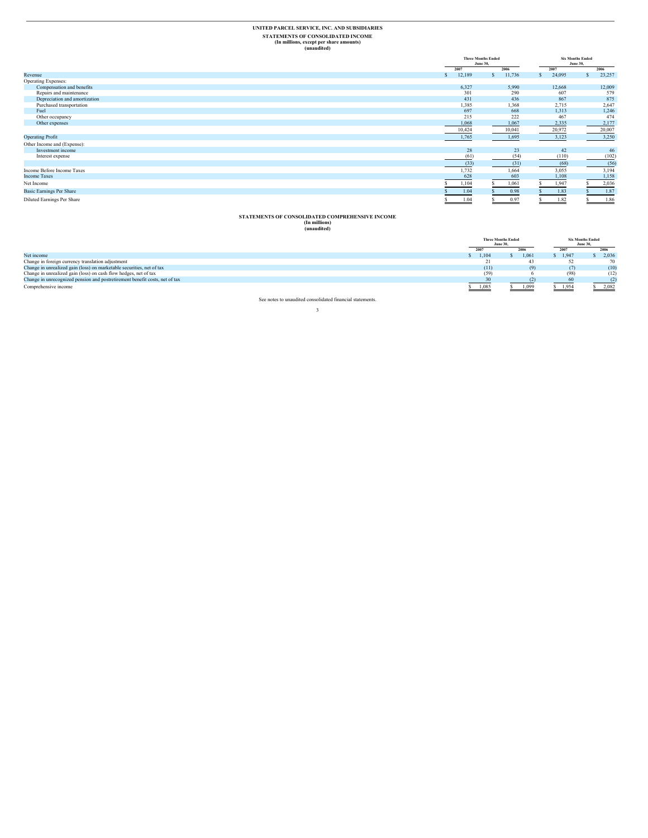#### **UNITED PARCEL SERVICE, INC. AND SUBSIDIARIES STATEMENTS OF CONSOLIDATED INCOME (In millions, except per share amounts) (unaudited)**

**Three Months Ended June 30, Six Months Ended June 30,**  $\frac{2007}{\$}$  **2006 2006 2006 2007 2006 21,095 23,257** Revenue Expenses:<br>
More than the compensation and benefits<br>
Repairs and maintenance<br>
Repairs and maintenance<br>
Superciation and anothization<br>
Depreciation and anothization<br>
The Contenance of the coupancy<br>
The Contenance of  $\begin{array}{cccc} 6,327 & 5,990 & 12,668 & 12,009 \\ 301 & 290 & 607 & 579 \\ 431 & 436 & 867 & 875 \\ 1,385 & 1,368 & 2,715 & 2,647 \\ 697 & 668 & 1,313 & 1,246 \\ 215 & 222 & 467 & 474 \\ \hline 10,044 & 10,041 & 20,972 & 20,007 \\ 1,765 & 1,695 & 3,123 & 3,250 \\ \end{array}$ Operating Profit 1,765 1,695 3,123 3,250 Other Income and (Expense):<br>Investment income<br>Interest expense Investment income  $28 \hspace{1.5mm} 23 \hspace{1.5mm} 42 \hspace{1.5mm} 46$ Interest expense (61) (54) (110) (102)  $(31)$   $(68)$   $(56)$ Income Before Income Taxes 1,732 1,664 3,055 3,194<br>Income Taxes 603 1,108 1,158 1,158 Net Income 5 1, 104 \$ 1,061 \$ 1,947 \$ 2,036 Basic Earnings Per Share \$ 1.83 \$ 1.87 \$ 1.87 Diluted Earnings Per Share \$ 1.04 \$ 0.97 \$ 1.82 \$ 1.86

# **STATEMENTS OF CONSOLIDATED COMPREHENSIVE INCOME (In millions) (unaudited)**

|                                                                             | <b>Three Months Ended</b><br><b>June 30,</b> |       | <b>Six Months Ended</b><br><b>June 30,</b> |       |
|-----------------------------------------------------------------------------|----------------------------------------------|-------|--------------------------------------------|-------|
|                                                                             |                                              |       |                                            |       |
|                                                                             |                                              |       | 2007                                       | 2006  |
| Net income                                                                  | 1.104                                        | 1.061 | 1.947                                      | 2.036 |
| Change in foreign currency translation adjustment                           | 21                                           | 43    |                                            | 70    |
| Change in unrealized gain (loss) on marketable securities, net of tax       | (11)                                         | (9)   |                                            | (10)  |
| Change in unrealized gain (loss) on cash flow hedges, net of tax            | (59)                                         |       | (98)                                       | (12)  |
| Change in unrecognized pension and postretirement benefit costs, net of tax |                                              |       | 60                                         | (2)   |
| Comprehensive income                                                        | 1,085                                        | 1,099 | 1,954                                      | 2,082 |

See notes to unaudited consolidated financial statements.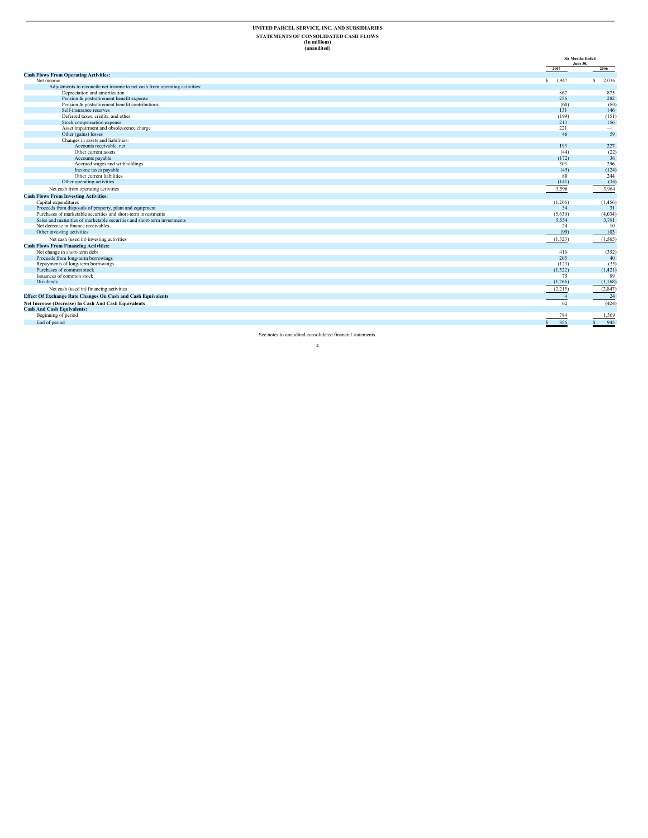# UNITED PARCEL SERVICE, INC. AND SUBSIDIARIES<br>STATEMENTS OF CONSOLIDATED CASH FLOWS<br>(In millions)<br>(unaudited)

|                                                                            |                     | <b>Six Months Ended</b><br>June 30, |
|----------------------------------------------------------------------------|---------------------|-------------------------------------|
|                                                                            | 2007                | 2006                                |
| <b>Cash Flows From Operating Activities:</b>                               |                     |                                     |
| Net income                                                                 | \$ 1,947            | s<br>2,036                          |
| Adjustments to reconcile net income to net cash from operating activities: |                     |                                     |
| Depreciation and amortization                                              | 867                 | 875                                 |
| Pension & postretirement benefit expense                                   | 256                 | 282                                 |
| Pension & postretirement benefit contributions                             | (60)                | (80)                                |
| Self-insurance reserves                                                    | 131                 | 146                                 |
| Deferred taxes, credits, and other                                         | (199)               | (151)                               |
| Stock compensation expense                                                 | 213                 | 156                                 |
| Asset impairment and obsolescence charge                                   | 221                 | $\hspace{0.1mm}-\hspace{0.1mm}$     |
| Other (gains) losses                                                       | 46                  | 59                                  |
| Changes in assets and liabilities:                                         |                     |                                     |
| Accounts receivable, net                                                   | 193                 | 227                                 |
| Other current assets                                                       | (44)                | (22)                                |
| Accounts payable                                                           | (172)               | 36                                  |
| Accrued wages and withholdings                                             | 303                 | 296                                 |
| Income taxes payable                                                       | (45)                | (124)                               |
| Other current liabilities                                                  | 80                  | 244                                 |
| Other operating activities                                                 | (141)               | (16)                                |
| Net cash from operating activities                                         | 3,596               | 3,964                               |
| <b>Cash Flows From Investing Activities:</b>                               |                     |                                     |
| Capital expenditures                                                       | (1,206)             | (1, 456)                            |
| Proceeds from disposals of property, plant and equipment                   | 34                  | 31                                  |
| Purchases of marketable securities and short-term investments              | (5,630)             | (4,034)                             |
| Sales and maturities of marketable securities and short-term investments   | 5,554               | 3,781                               |
| Net decrease in finance receivables                                        | 24                  | 10                                  |
| Other investing activities                                                 | (99)                | 103                                 |
| Net cash (used in) investing activities                                    | (1, 323)            | (1, 565)                            |
| <b>Cash Flows From Financing Activities:</b>                               |                     |                                     |
| Net change in short-term debt                                              | 416                 | (352)                               |
| Proceeds from long-term borrowings                                         | 205                 | 40                                  |
| Repayments of long-term borrowings                                         | (123)               | (35)                                |
| Purchases of common stock                                                  | (1, 522)            | (1, 421)                            |
| Issuances of common stock                                                  | 75                  | 89                                  |
| <b>Dividends</b>                                                           | (1,266)             | (1,168)                             |
| Net cash (used in) financing activities                                    | (2,215)             | (2, 847)                            |
| <b>Effect Of Exchange Rate Changes On Cash and Cash Equivalents</b>        | $\overline{4}$      | 24                                  |
| Net Increase (Decrease) In Cash And Cash Equivalents                       | 62                  | (424)                               |
| <b>Cash And Cash Equivalents:</b>                                          |                     |                                     |
| Beginning of period                                                        | 794                 | 1,369                               |
| End of period                                                              | 856<br>$\mathbf{s}$ | 945<br>$\mathbf{s}$                 |
|                                                                            |                     |                                     |

See notes to unaudited consolidated financial statements.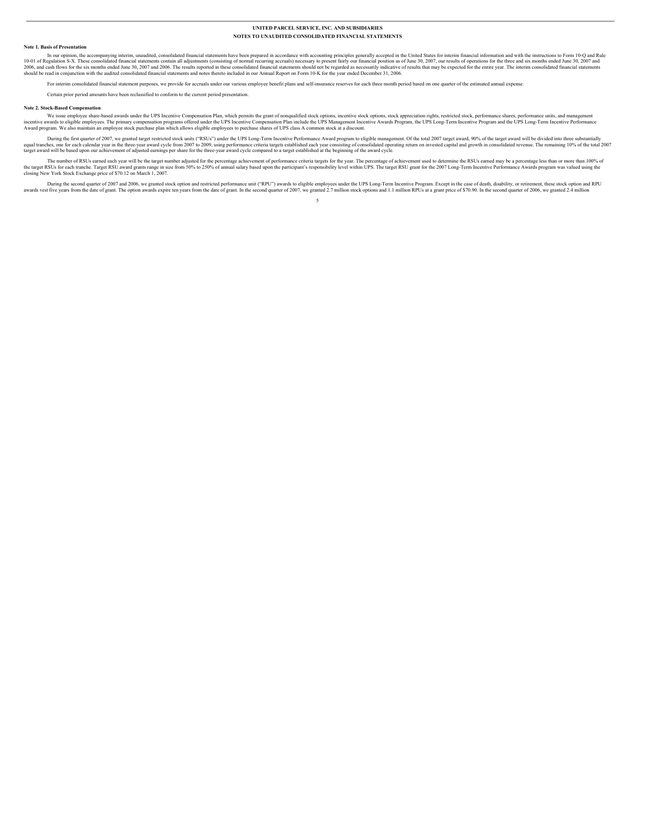#### **Note 1. Basis of Presentation**

In our opinion, the accompanying interim, unaudited, consolidated financial statements have been prepared in accordance with accounting principles generally accepted in the United States for interim financial information a

For interim consolidated financial statement purposes, we provide for accruals under our various employee benefit plans and self-insurance reserves for each three month period based on one quarter of the estimated annual e

Certain prior period amounts have been reclassified to conform to the current period presentation.

#### **Note 2. Stock-Based Compensation**

We issue employee share-based awards under the UPS Incentive Compensation Plan, which permits the grant of nonqualified stock options, incentive stock options, stock appreciation rights, restricted stock, performance share

During the first quarter of 2007, we granted target restricted stock units ("RSUs") under the UPS Long-Term Incentive Performance Award program to eligible management. Of the total 2007 target award, 90% of the target awar

The number of RSUs earned each year will be the target number adjusted for the percentage achievement of performance criteria targets for the year. The percentage of achievement used to determine the RSUs eamed may be a pe

During the second quarter of 2007 and 2006, we granted stock option and restricted performance unit ("RPU") awards to eligible employes under the UPS Long-Term Incentive Program. Except in the case of death, disability, or 5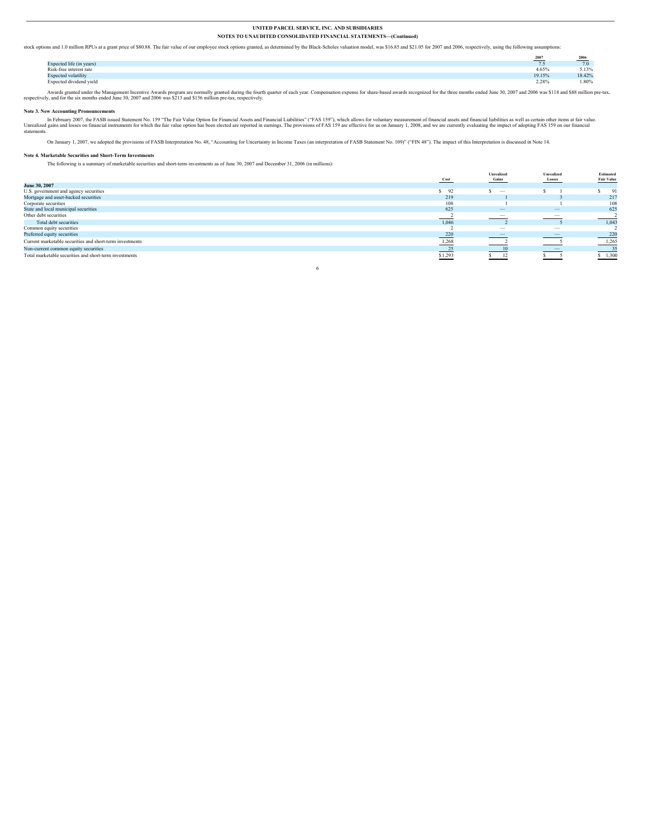stock options and 1.0 million RPUs at a grant price of \$80.88. The fair value of our employee stock options granted, as determined by the Black-Scholes valuation model, was \$16.85 and \$21.05 for 2007 and 2006, respectively

|                              | $- - -$<br>-2007<br><b>CONTRACTOR</b> | 2006   |
|------------------------------|---------------------------------------|--------|
| Expected life (in years)     | $\cdots$                              | 1.9    |
| Risk-free interest rate      | 4.65%                                 | 5.13%  |
| <b>Expected volatility</b>   | 19.15%                                | 18.42% |
| Expected dividend yield<br>. | 2.28%                                 | 1.80%  |

Awards granted under the Management Incentive Awards program are normally granted during the fourth quarter of each year. Compensation expense for share-based awards recognized for the three months ended June 30, 2007 and

#### **Note 3. New Accounting Pronouncements**

In February 2007, the FASB issued Statement No. 159 "The Fair Value Option for Financial Assets and Financial Lisbilities" ("FAS 159"), which allows for voluntary measurement of financial assets and financial liabilities a

On January 1, 2007, we adopted the provisions of FASB Interpretation No. 48, "Accounting for Uncertainty in Income Taxes (an interpretation of FASB Statement No. 109)" ("FIN 48"). The impact of this Interpretation is discu

#### **Note 4. Marketable Securities and Short-Term Investments**

The following is a summary of marketable securities and short-term investments as of June 30, 2007 and December 31, 2006 (in millions):

|                                                                               |         | <b>Unrealized</b>               | <b>Unrealized</b>                                    | Estimated         |
|-------------------------------------------------------------------------------|---------|---------------------------------|------------------------------------------------------|-------------------|
|                                                                               | Cost    | Gains                           | Losses                                               | <b>Fair Value</b> |
| June 30, 2007                                                                 |         |                                 |                                                      |                   |
| U.S. government and agency securities<br>Mortgage and asset-backed securities | S 92    | $\hspace{0.1mm}-\hspace{0.1mm}$ |                                                      | 91                |
|                                                                               | 219     |                                 |                                                      | 217               |
| Corporate securities                                                          | 108     |                                 |                                                      | 108               |
| State and local municipal securities                                          | 625     | $\overline{\phantom{m}}$        | $\overline{\phantom{m}}$                             | 625               |
| Other debt securities                                                         |         | $\overline{\phantom{a}}$        | $\overline{\phantom{0}}$                             |                   |
| Total debt securities                                                         | 1.046   |                                 |                                                      | 1,043             |
| Common equity securities                                                      |         | $\hspace{0.1mm}-\hspace{0.1mm}$ | $\overline{\phantom{a}}$                             |                   |
| Preferred equity securities                                                   | 220     |                                 | $\overline{\phantom{a}}$<br><b>Service Contracts</b> | 220               |
| Current marketable securities and short-term investments                      | 1,268   |                                 |                                                      | 1,265             |
| Non-current common equity securities                                          |         |                                 | $\overline{\phantom{a}}$                             | 35                |
| Total marketable securities and short-term investments                        | \$1,293 | 12                              |                                                      | \$1,300           |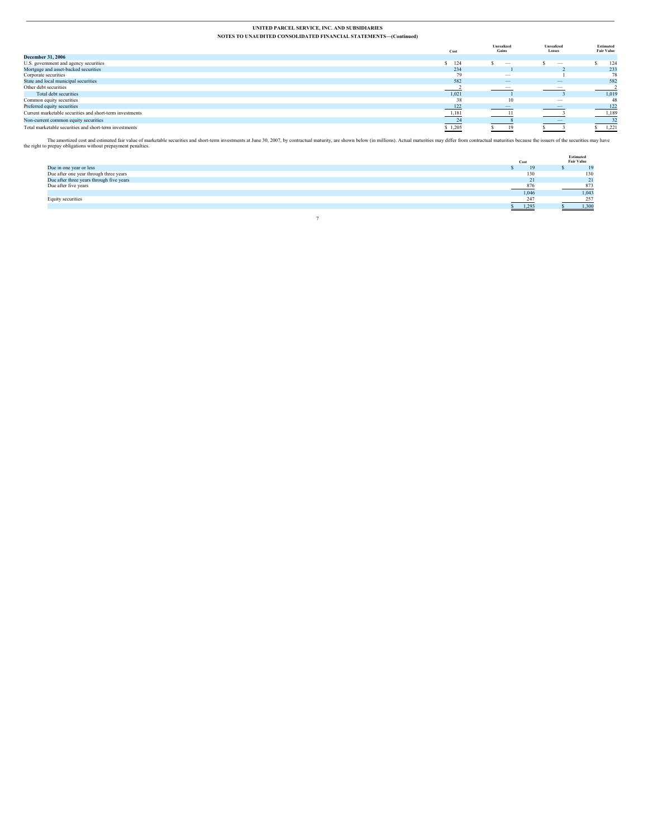|                                                          | Cost    | <b>Unrealized</b><br>Gains | <b>Unrealized</b><br>Losses | Estimated<br><b>Fair Value</b> |
|----------------------------------------------------------|---------|----------------------------|-----------------------------|--------------------------------|
| <b>December 31, 2006</b>                                 |         |                            |                             |                                |
| U.S. government and agency securities                    | $-124$  | -                          | $\overline{\phantom{a}}$    | 124                            |
| Mortgage and asset-backed securities                     | 234     |                            |                             | 233                            |
| Corporate securities                                     | 79      | $\overline{\phantom{a}}$   |                             | 78                             |
| State and local municipal securities                     | 582     |                            |                             | 582                            |
| Other debt securities                                    |         | $\overline{\phantom{a}}$   | $\overline{\phantom{a}}$    |                                |
| Total debt securities                                    | 1,021   |                            |                             | 1,019                          |
| Common equity securities                                 | 38      | 10                         | $\overline{\phantom{a}}$    | 48                             |
| Preferred equity securities                              | 122     | $\overline{\phantom{a}}$   | $\overline{\phantom{a}}$    | 122                            |
| Current marketable securities and short-term investments | 1,181   |                            | $\overline{\phantom{a}}$    | 1,189                          |
| Non-current common equity securities                     | 24      |                            | $\overline{\phantom{a}}$    | 32                             |
| Total marketable securities and short-term investments   | \$1,205 |                            |                             | 1,221                          |

The amotrized cost and estimated fair value of marketable securities and short-term investments at June 30, 2007, by contractual maturity, are shown below (in millions). Actual maturities may differ from contractual maturi

|                                                                                    |       | Estimated         |
|------------------------------------------------------------------------------------|-------|-------------------|
|                                                                                    | Cost  | <b>Fair Value</b> |
| Due in one year or less                                                            |       | 19                |
| Due after one year through three years<br>Due after three years through five years | 130   | 130               |
|                                                                                    | 21    | 21                |
| Due after five years                                                               | 876   | 873               |
|                                                                                    | 1,046 | 1,043             |
| Equity securities                                                                  | 247   | 257               |
|                                                                                    | 1,293 | 1.300             |
|                                                                                    |       |                   |
|                                                                                    |       |                   |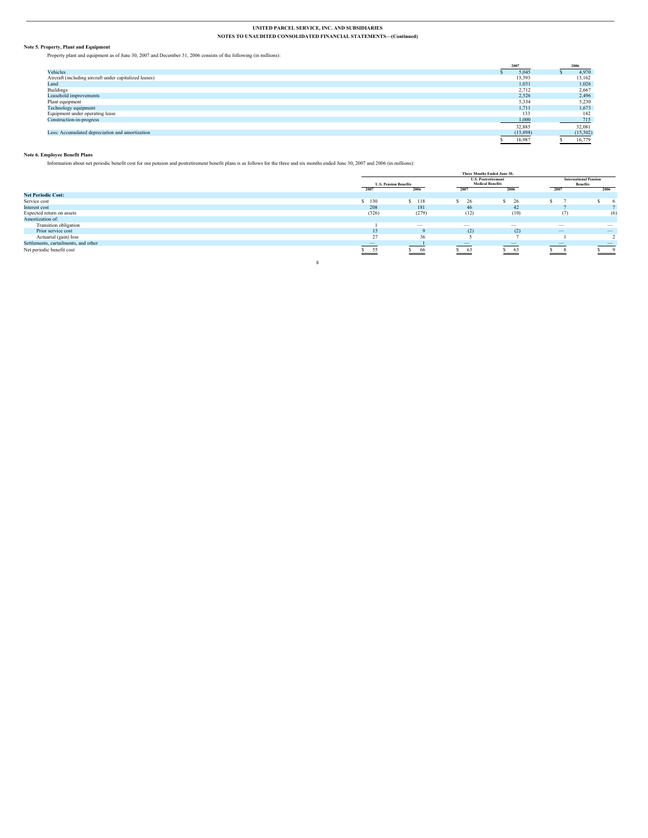**Note 5. Property, Plant and Equipment** Property plant and equipment as of June 30, 2007 and December 31, 2006 consists of the following (in millions):

|                                                        | 2007     | 2006     |
|--------------------------------------------------------|----------|----------|
| Vehicles                                               | 5,045    | 4,970    |
| Aircraft (including aircraft under capitalized leases) | 13,393   | 13,162   |
| Land                                                   | 1,031    | 1,026    |
| <b>Buildings</b>                                       | 2,712    | 2,667    |
| Leasehold improvements                                 | 2,526    | 2,496    |
| Plant equipment                                        | 5,334    | 5,230    |
| Technology equipment                                   | 1.711    | 1,673    |
| Equipment under operating lease                        | 133      | 142      |
| Construction-in-progress                               | 1,000    | 715      |
|                                                        | 32,885   | 32,081   |
| Less: Accumulated depreciation and amortization        | (15,898) | (15,302) |
|                                                        | 16,987   | 16,779   |

#### **Note 6. Employee Benefit Plans**

Information about net periodic benefit cost for our pension and postretirement benefit plans is as follows for the three and six months ended June 30, 2007 and 2006 (in millions):

|                                      |                              |                                 | Three Months Ended June 30, |                          |                                                 |                          |
|--------------------------------------|------------------------------|---------------------------------|-----------------------------|--------------------------|-------------------------------------------------|--------------------------|
|                                      |                              |                                 | <b>U.S. Postretirement</b>  |                          | <b>International Pension</b><br><b>Benefits</b> |                          |
|                                      | <b>U.S. Pension Benefits</b> |                                 | <b>Medical Benefits</b>     |                          |                                                 |                          |
|                                      | 2007                         | 2006<br>______                  | 2007                        | 2006                     | 2007                                            | 2006                     |
| <b>Net Periodic Cost:</b>            |                              |                                 |                             |                          |                                                 |                          |
| Service cost                         | \$130                        | 118                             | 26                          | 26                       |                                                 |                          |
| Interest cost                        | 208                          | 181                             | 46                          | 42                       |                                                 |                          |
| Expected return on assets            | (326)                        | (279)                           | (12)                        | (10)                     | (7)                                             | (6)                      |
| Amortization of:                     |                              |                                 |                             |                          |                                                 |                          |
| Transition obligation                |                              | $\hspace{0.1mm}-\hspace{0.1mm}$ | $\overline{\phantom{a}}$    | $\overline{\phantom{a}}$ | $\overline{\phantom{a}}$                        | $\overline{\phantom{a}}$ |
| Prior service cost                   | 15                           | $\mathbf Q$                     | (2)                         | (2)                      |                                                 | $\overline{\phantom{m}}$ |
| Actuarial (gain) loss                | 27                           | 36                              |                             |                          |                                                 |                          |
| Settlements, curtailments, and other | $\overline{\phantom{a}}$     |                                 | $\qquad \qquad$             | $\overline{\phantom{a}}$ | $\hspace{0.1mm}-\hspace{0.1mm}$                 | $\overline{\phantom{a}}$ |
| Net periodic benefit cost            | $S$ 55<br>$-$                | \$66                            | $S = 63$<br>$\sim$          | \$63<br>$\sim$           | - 8<br><u>___</u>                               | $\overline{9}$           |
|                                      |                              |                                 |                             |                          |                                                 |                          |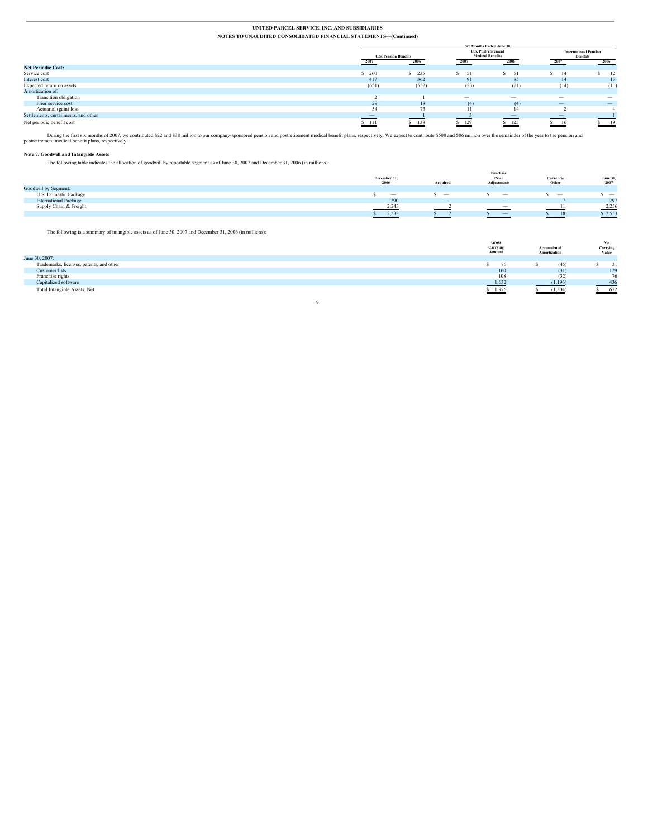|                                      |                          | Six Months Ended June 30.    |                                 |                                                       |                          |                          |  |                                                 |
|--------------------------------------|--------------------------|------------------------------|---------------------------------|-------------------------------------------------------|--------------------------|--------------------------|--|-------------------------------------------------|
|                                      |                          | <b>U.S. Pension Benefits</b> |                                 | <b>U.S. Postretirement</b><br><b>Medical Benefits</b> |                          |                          |  | <b>International Pension</b><br><b>Benefits</b> |
|                                      | 2007                     | 2006                         | 2007                            | 2006                                                  | 2007                     | 2006                     |  |                                                 |
| <b>Net Periodic Cost:</b>            |                          |                              |                                 |                                                       |                          |                          |  |                                                 |
| Service cost                         | 260                      | 235                          | 51                              | 51                                                    | 14                       | -12                      |  |                                                 |
| Interest cost                        | 417                      | 362                          | 91                              | 85                                                    | 14                       | 13                       |  |                                                 |
| Expected return on assets            | (651)                    | (552)                        | (23)                            | (21)                                                  | (14)                     | (11)                     |  |                                                 |
| Amortization of:                     |                          |                              |                                 |                                                       |                          |                          |  |                                                 |
| Transition obligation                |                          |                              | $\hspace{0.1mm}-\hspace{0.1mm}$ | $\overline{\phantom{a}}$                              | $\overline{\phantom{a}}$ | $\overline{\phantom{a}}$ |  |                                                 |
| Prior service cost                   | 29                       | 18                           | (4)                             | (4)                                                   |                          | $\qquad \qquad -$        |  |                                                 |
|                                      | 54                       | 73                           | 11                              | 14                                                    |                          |                          |  |                                                 |
| Settlements, curtailments, and other | $\overline{\phantom{a}}$ |                              |                                 | $\overline{\phantom{m}}$                              | $\overline{\phantom{a}}$ |                          |  |                                                 |
| Net periodic benefit cost            | \$111                    | 138                          | \$129                           | $S$ 125<br>$\overline{\phantom{a}}$                   | 16                       | 19                       |  |                                                 |
| Actuarial (gain) loss                |                          |                              |                                 |                                                       |                          |                          |  |                                                 |

During the first six months of 2007, we contributed \$22 and \$38 million to our company-sponsored pension and postretirement medical benefit plans, respectively. We expect to contribute \$508 and \$86 million over the remaind

#### **Note 7. Goodwill and Intangible Assets**

The following table indicates the allocation of goodwill by reportable segment as of June 30, 2007 and December 31, 2006 (in millions):

|                              | December 31,<br>2006            | Acquired<br>and the control of the con- | Purchase<br>Price<br>Adjustments | Currency/<br>Other       | June 30<br>2007<br>the control of the control of |
|------------------------------|---------------------------------|-----------------------------------------|----------------------------------|--------------------------|--------------------------------------------------|
| Goodwill by Segment:         |                                 |                                         |                                  |                          |                                                  |
| U.S. Domestic Package        | $\hspace{0.1mm}-\hspace{0.1mm}$ | $\overline{\phantom{a}}$                | $\hspace{0.1mm}-\hspace{0.1mm}$  | $\overline{\phantom{a}}$ | $\overline{\phantom{a}}$                         |
| <b>International Package</b> | 290                             | $\overline{\phantom{m}}$                |                                  |                          | 297                                              |
| Supply Chain & Freight       | 2,243                           |                                         | $\overline{\phantom{a}}$         |                          | 2,256                                            |
|                              | 2,533                           |                                         | $\hspace{0.1mm}-\hspace{0.1mm}$  | 18                       | \$2,553                                          |

The following is a summary of intangible assets as of June 30, 2007 and December 31, 2006 (in millions):

|                                          | <b>Gross</b><br>Carrying<br>Amount | Accumulated<br>Amortization | Net<br>Carrying<br>Value |
|------------------------------------------|------------------------------------|-----------------------------|--------------------------|
| June 30, 2007:                           |                                    |                             |                          |
| Trademarks, licenses, patents, and other |                                    | (45)                        |                          |
| Customer lists                           | 160                                | (31)                        | 129                      |
| Franchise rights                         | 108                                | (32)                        | 76                       |
| Capitalized software                     | 1,632                              | (1, 196)                    | 436                      |
| Total Intangible Assets, Net             | 1,976                              | (1,304)                     | 672                      |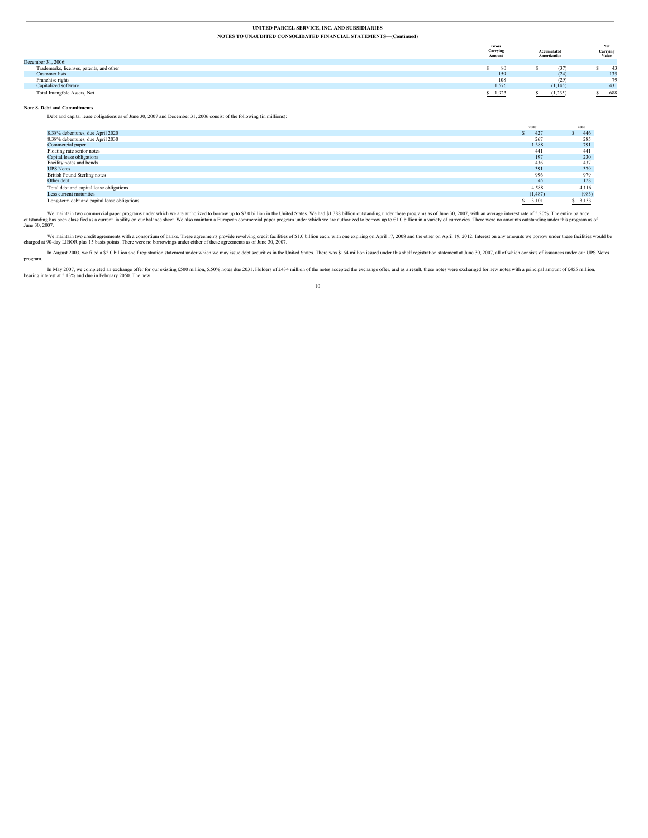|                                          | <b>Gross</b><br>Carrying<br>Amount | Accumulated<br>Amortization | Net<br>Carrying<br>Value |
|------------------------------------------|------------------------------------|-----------------------------|--------------------------|
| December 31, 2006:                       |                                    |                             |                          |
| Trademarks, licenses, patents, and other | 80                                 | (37)                        |                          |
| Customer lists                           | 159                                | (24)                        | 135                      |
| Franchise rights                         | 108                                | (29)                        | 79                       |
| Capitalized software                     | 1,576                              | (1, 145)                    | 431                      |
| Total Intangible Assets, Net             | $-1,923$                           | (1,235)                     | 688                      |

#### **Note 8. Debt and Commitments**

Debt and capital lease obligations as of June 30, 2007 and December 31, 2006 consist of the following (in millions):

|                                              | 2007    | 2006  |
|----------------------------------------------|---------|-------|
| 8.38% debentures, due April 2020             | 427     | 446   |
| 8.38% debentures, due April 2030             | 267     | 285   |
| Commercial paper                             | 1.388   | 791   |
| Floating rate senior notes                   | 441     | 441   |
| Capital lease obligations                    | 197     | 230   |
| Facility notes and bonds                     | 436     | 437   |
| <b>UPS Notes</b>                             | 391     | 379   |
| British Pound Sterling notes                 | 996     | 979   |
| Other debt                                   | 45      | 128   |
| Total debt and capital lease obligations     | 4,588   | 4,116 |
| Less current maturities                      | (1,487) | (983) |
| Long-term debt and capital lease obligations | 3,101   | 3,133 |

We maintain two commercial paper programs under which we are authorized to borrow up to \$7.0 billion in the United States. We had \$1.388 billion outstanding under these programs as of June 30, 2007, with an average interes

We maintain two credit agreements with a consortium of banks. These agreements provide revolving credit facilities of \$1.0 billion each, with one expiring on April 17, 2008 and the other on April 19, 2012. Interest on any

In August 2003, we filed a \$2.0 billion shelf registration statement under which we may issue debt securities in the United States. There was \$164 million issued under this shelf registration statement at June 30, 2007, al program.

10

In May 2007, we completed an exchange offer for our existing £500 million, 5.50% notes due 2031. Holders of £434 million of the notes accepted the exchange offer, and as a result, these notes were exchanged for new notes w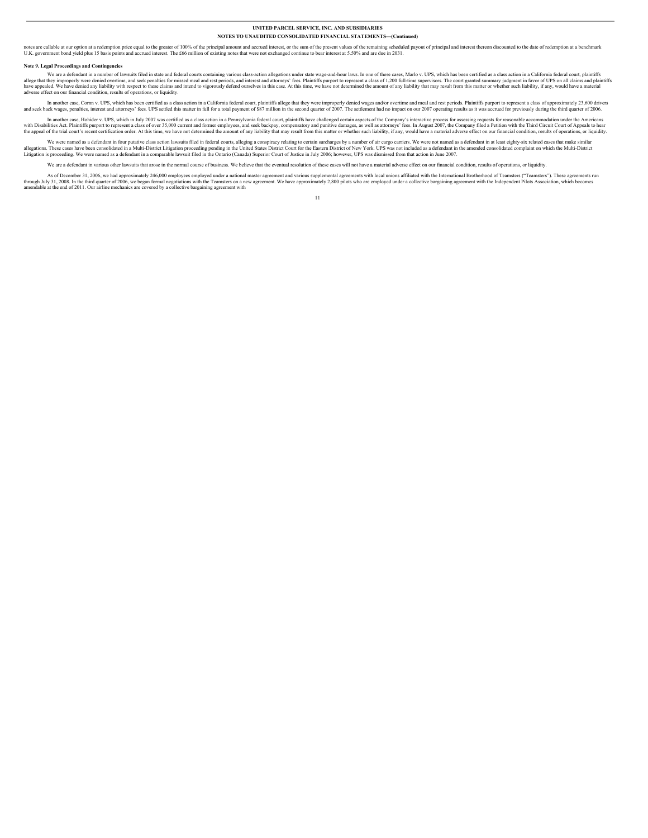notes are callable at our option at a redemption price equal to the greater of 100% of the principal amount and accrued interest, or the sum of the present values of the remaining selected interes of the set of redemption

#### **Note 9. Legal Proceedings and Contingencies**

We are a defendant in a number of lawsuits filed in state and federal counts containing various class-action allegations under state wage-and-hour laws. In one of these cases, Marlo v. UPS, which has been certified as a cl adverse effect on our financial condition, results of operations, or liquidity.

In another case, Com v, UPS, which has been certified as a class as closic as ition in a California federal court, plaintifis allege that they were improperly denis cases. CDS settled this matter in full for a total paymen

In another case, Hohider v. UPS, which in July 2007 was certified as a class action in a Pennsylvania federal court, plaintiffs have challenged certain aspects of the Company's interactive process for assessing requests fo

We were named as a defendant in four putative class action lawsuits filed in federal courts, alleging a conspiracy relating to certain surcharges by a number of air cargo carriers. We were not named as a defendant in at le

We are a defendant in various other lawsuits that arose in the normal course of business. We believe that the eventual resolution of these cases will not have a material adverse effect on our financial condition, results o

As of December 31, 2006, we had approximately 246,000 employees employed under a national master agreement and various supplemental agreements with local unions affiliated with the International Brotherhood of Teamsters (" 11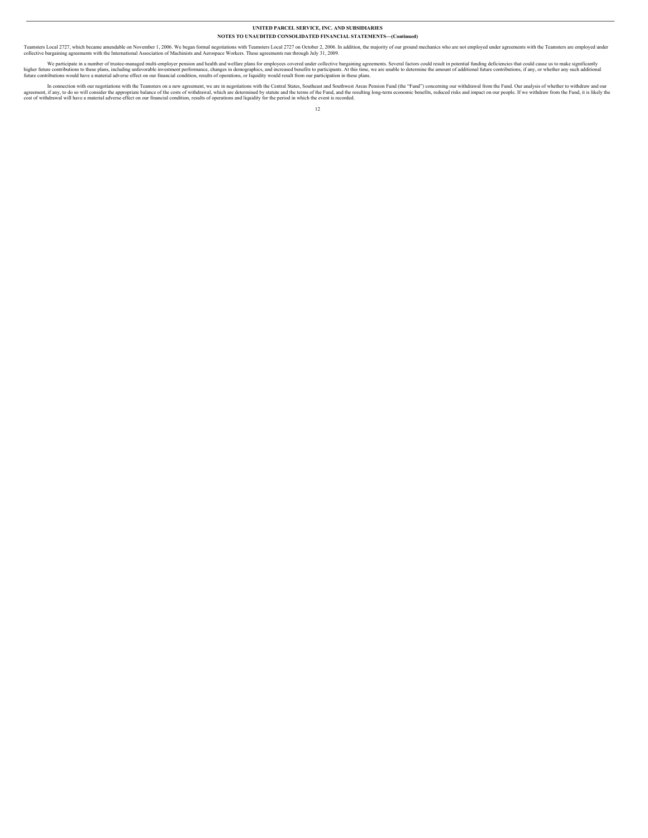Teamsters Local 2727, which became amendable on November 1, 2006. We began formal negotiations with Teamsters Local 2727 on October 2, 2006. In addition, the majority of our ground mechanics who are not employed under agre

We participate in a number of trustee-managed multi-employer pension and health and welfare plans for employees covered under collective bargaining agreements. Several factors could result in potential funding deficiencies

In connection with our negotiations with the Teamsters on a new agreement, we are in negotiations with the Central States, Southeast and Southwest Areas Pension Fund (the "Fund") concerning our withdrawal from the Fund, Du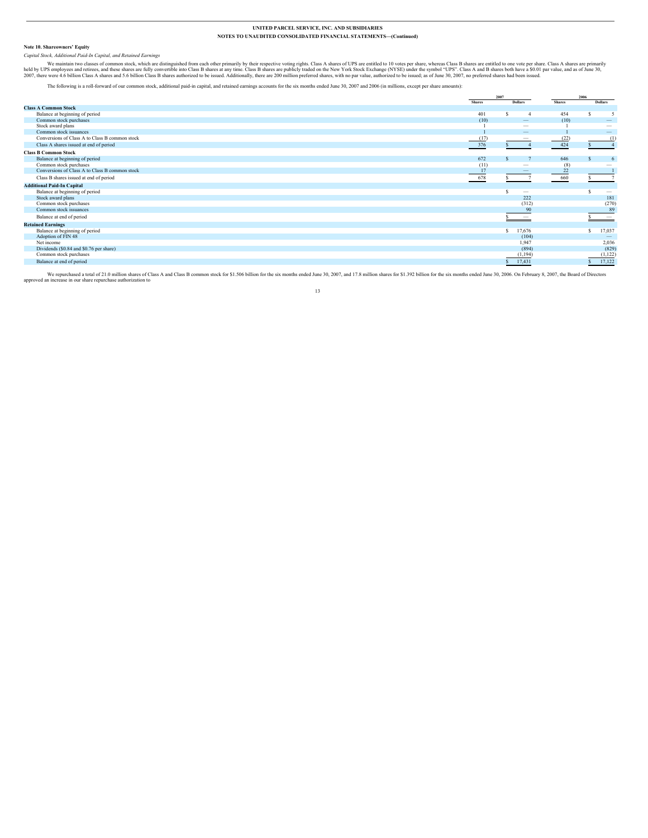#### **Note 10. Shareowners' Equity**

*Capital Stock, Additional Paid-In Capital, and Retained Earnings*

We maintain two classes of common stock, which are distinguished from each other primarily by their respective voting rights. Class A shares of UPS are entitled to 10 votes per share, whereas Class B shares are entitled to

The following is a roll-forward of our common stock, additional paid-in capital, and retained earnings accounts for the six months ended June 30, 2007 and 2006 (in millions, except per share amounts):

|                                                |               | 2007                            |               | 2006                            |  |
|------------------------------------------------|---------------|---------------------------------|---------------|---------------------------------|--|
|                                                | <b>Shares</b> | <b>Dollars</b>                  | <b>Shares</b> | <b>Dollars</b>                  |  |
| <b>Class A Common Stock</b>                    |               |                                 |               |                                 |  |
| Balance at beginning of period                 | 401           |                                 | 454           |                                 |  |
| Common stock purchases                         | (10)          | $\qquad \qquad -$               | (10)          | $\qquad \qquad -$               |  |
| Stock award plans                              |               | $\overline{\phantom{a}}$        |               | $\hspace{0.1mm}-\hspace{0.1mm}$ |  |
| Common stock issuances                         |               | -                               |               | $\qquad \qquad$                 |  |
| Conversions of Class A to Class B common stock | (17)          | $\overline{\phantom{a}}$        | (22)          | (1)                             |  |
| Class A shares issued at end of period         | 376           |                                 | 424           |                                 |  |
| <b>Class B Common Stock</b>                    |               |                                 |               |                                 |  |
| Balance at beginning of period                 | 672           |                                 | 646           | 6                               |  |
| Common stock purchases                         | (11)          | $\overline{\phantom{a}}$        | (8)           |                                 |  |
| Conversions of Class A to Class B common stock | 17            | -                               | 22            |                                 |  |
| Class B shares issued at end of period         | 678<br>_____  |                                 | 660           |                                 |  |
| <b>Additional Paid-In Capital</b>              |               |                                 |               |                                 |  |
| Balance at beginning of period                 |               | $\hspace{0.1mm}-\hspace{0.1mm}$ |               | $\hspace{0.1mm}-\hspace{0.1mm}$ |  |
| Stock award plans                              |               | 222                             |               | 181                             |  |
| Common stock purchases                         |               | (312)                           |               | (270)                           |  |
| Common stock issuances                         |               | 90                              |               | 89                              |  |
| Balance at end of period                       |               | $\hspace{0.1mm}-\hspace{0.1mm}$ |               | $\hspace{0.1mm}-\hspace{0.1mm}$ |  |
| <b>Retained Earnings</b>                       |               |                                 |               |                                 |  |
| Balance at beginning of period                 |               | 17,676<br>-S                    |               | 17,037<br>s                     |  |
| Adoption of FIN 48                             |               | (104)                           |               | $\overline{\phantom{a}}$        |  |
| Net income                                     |               | 1,947                           |               | 2,036                           |  |
| Dividends (\$0.84 and \$0.76 per share)        |               | (894)                           |               | (829)                           |  |
| Common stock purchases                         |               | (1, 194)                        |               | (1, 122)                        |  |
| Balance at end of period                       |               | 17,431                          |               | 17,122                          |  |
|                                                |               |                                 |               |                                 |  |

We repurchased a total of 21.0 million shares of Class A and Class B common stock for \$1.506 billion for the six months ended June 30, 2007, and 17.8 million shares for \$1.392 billion for the six months ended June 30, 2007 approved an increase in our share repurchase authorization to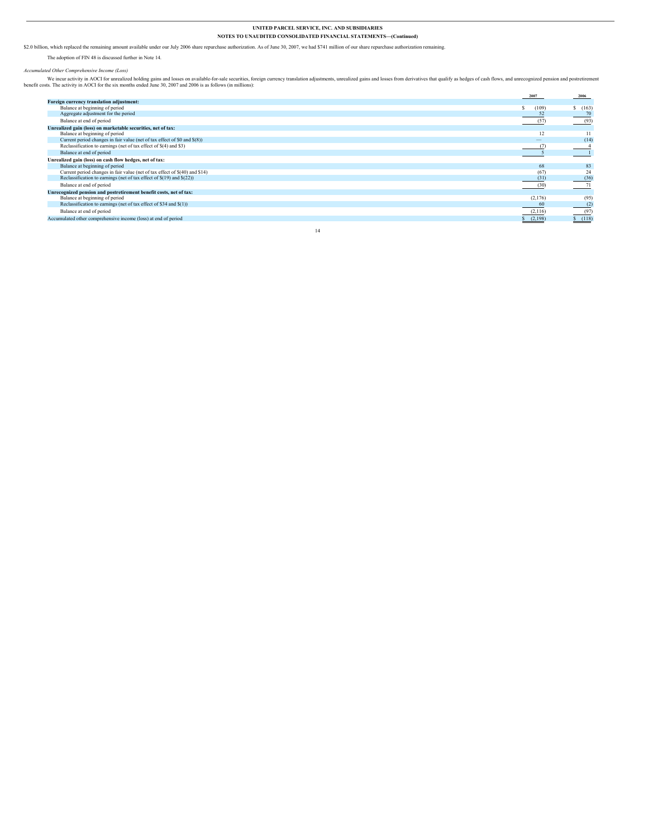\$2.0 billion, which replaced the remaining amount available under our July 2006 share repurchase authorization. As of June 30, 2007, we had \$741 million of our share repurchase authorization remaining.

The adoption of FIN 48 is discussed further in Note 14.

Accumulated Other Comprehensive Income (Loss)<br>We incur activity in AOCI for the six months ended June 30, 2007 and 2006 is as follows (in millions):<br>benefit costs. The activity in AOCI for the six months ended June 30, 200

|                                                                             | 2007    | 2006   |
|-----------------------------------------------------------------------------|---------|--------|
| Foreign currency translation adjustment:                                    |         |        |
| Balance at beginning of period                                              | (109)   | S(163) |
| Aggregate adjustment for the period                                         | 52      |        |
| Balance at end of period                                                    | (57)    | (93)   |
| Unrealized gain (loss) on marketable securities, net of tax:                |         |        |
| Balance at beginning of period                                              | 12      |        |
| Current period changes in fair value (net of tax effect of \$0 and \$(8))   |         | (14)   |
| Reclassification to earnings (net of tax effect of \$(4) and \$3)           |         |        |
| Balance at end of period                                                    |         |        |
| Unrealized gain (loss) on cash flow hedges, net of tax:                     |         |        |
| Balance at beginning of period                                              | 68      | 83     |
| Current period changes in fair value (net of tax effect of \$(40) and \$14) | (67)    | 24     |
| Reclassification to earnings (net of tax effect of $$(19)$ and $$(22)$ )    | (31)    | (36)   |
| Balance at end of period                                                    | (30)    | 71     |
| Unrecognized pension and postretirement benefit costs, net of tax:          |         |        |
| Balance at beginning of period                                              | (2,176) | (95)   |
| Reclassification to earnings (net of tax effect of \$34 and \$(1))          | 60      | (2)    |
| Balance at end of period                                                    | (2,116) | (97)   |
| Accumulated other comprehensive income (loss) at end of period              | (2,198) | S(118) |
|                                                                             |         |        |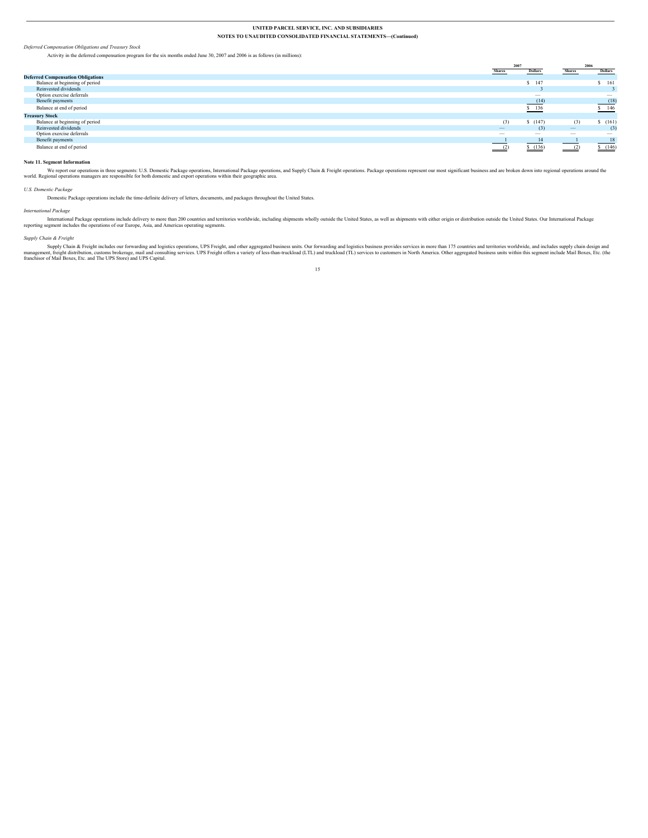*Deferred Compensation Obligations and Treasury Stock*

|                                          |                          | 2007                            |                          | 2006                            |
|------------------------------------------|--------------------------|---------------------------------|--------------------------|---------------------------------|
|                                          | <b>Shares</b>            | <b>Dollars</b>                  | <b>Shares</b>            | <b>Dollars</b>                  |
| <b>Deferred Compensation Obligations</b> |                          |                                 |                          |                                 |
| Balance at beginning of period           |                          | $S$ 147                         |                          | \$161                           |
| Reinvested dividends                     |                          |                                 |                          |                                 |
| Option exercise deferrals                |                          | $\overline{\phantom{a}}$        |                          | $\hspace{0.1mm}-\hspace{0.1mm}$ |
| Benefit payments                         |                          | (14)                            |                          | (18)                            |
| Balance at end of period                 |                          | \$ 136<br>$-$                   |                          | \$146                           |
| <b>Treasury Stock</b>                    |                          |                                 |                          |                                 |
| Balance at beginning of period           | (3)                      | \$(147)                         | (3)                      | \$(161)                         |
| Reinvested dividends                     |                          | (3)                             |                          | (3)                             |
| Option exercise deferrals                | $\overline{\phantom{a}}$ | $\hspace{0.1mm}-\hspace{0.1mm}$ | $\overline{\phantom{a}}$ | $\hspace{0.1mm}-\hspace{0.1mm}$ |
| Benefit payments                         |                          | 14                              |                          | 18                              |
| Balance at end of period                 |                          | \$(136)                         |                          | S(146)                          |

#### **Note 11. Segment Information**

We report our operations in three segments: U.S. Domestic Package operations, International Package operations, and Supply Chain & Freight operations. Package operations represent our most significant business and are brok

*U.S. Domestic Package*

Domestic Package operations include the time-definite delivery of letters, documents, and packages throughout the United States.

Activity in the deferred compensation program for the six months ended June 30, 2007 and 2006 is as follows (in millions):

#### *International Package*

International Package operations include delivery to more than 200 countries and territories worldwide, including shipments wholly outside the United States, as well as shipments with either origin or distribution outside

#### *Supply Chain & Freight*

Supply Chain & Freight includes our forwarding and logistics operations, UPS Freight, and other aggregated business units. Our forwarding and olgistics business provides services in more than 175 countries and territories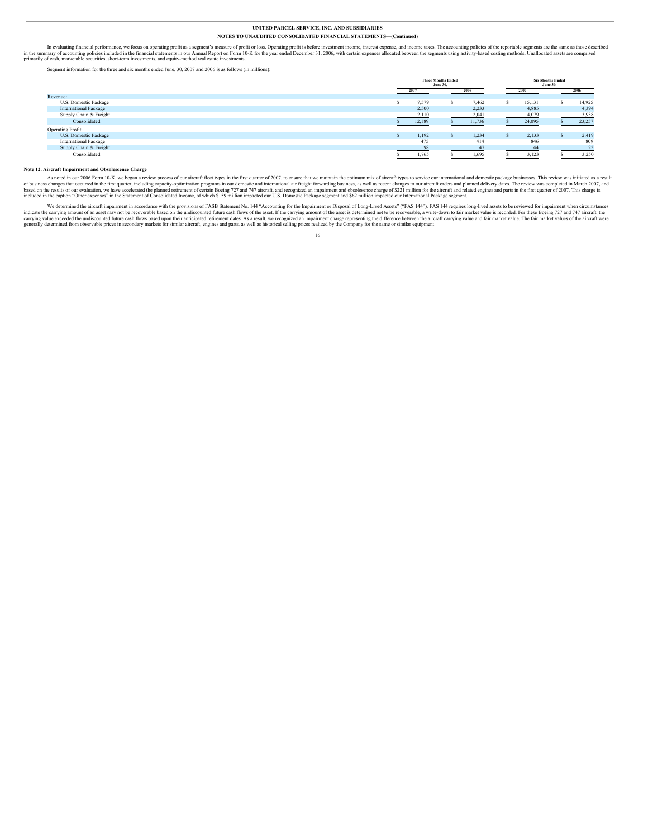In evaluating financial performance, we focus on operating profit as a segment's measure of profit or loss. Operating profit is before investment income, interest expense, and income axes. The accounting policies of the re

Segment information for the three and six months ended June, 30, 2007 and 2006 is as follows (in millions):

|                              | <b>Three Months Ended</b><br><b>June 30.</b> |  |        | <b>Six Months Ended</b><br><b>June 30,</b> |        |  |        |
|------------------------------|----------------------------------------------|--|--------|--------------------------------------------|--------|--|--------|
|                              | 2007                                         |  |        |                                            | 2007   |  | 2006   |
| Revenue:                     |                                              |  |        |                                            |        |  |        |
| U.S. Domestic Package        | 7,579                                        |  | 7,462  |                                            | 15,131 |  | 14,925 |
| <b>International Package</b> | 2,500                                        |  | 2,233  |                                            | 4,885  |  | 4,394  |
| Supply Chain & Freight       | 2,110                                        |  | 2,041  |                                            | 4,079  |  | 3,938  |
| Consolidated                 | 12,189                                       |  | 11,736 |                                            | 24,095 |  | 23,257 |
| Operating Profit:            |                                              |  |        |                                            |        |  |        |
| U.S. Domestic Package        | 1.192                                        |  | 1.234  |                                            | 2,133  |  | 2,419  |
| <b>International Package</b> | 475                                          |  | 414    |                                            | 846    |  | 809    |
| Supply Chain & Freight       | 98                                           |  | 47     |                                            | 144    |  | 22     |
| Consolidated                 | 1,765                                        |  | 1,695  |                                            | 3,123  |  | 3,250  |

#### **Note 12. Aircraft Impairment and Obsolescence Charge**

As noted in our 2006 Form 10-K, we began a review process of our aircraft fleet types in the first quarter of 2007, to ensure that we maintain the optimum mix of aircraft types to service our international and domestic pac

We determined the aircraft impairment in accordance with the provisions of FASB Statement No. 144 "Accounting for the Impairment or Disposal of Long-Lived Assets" ("FAS 144"). FAS 144 requires long-lived assets to be revie 16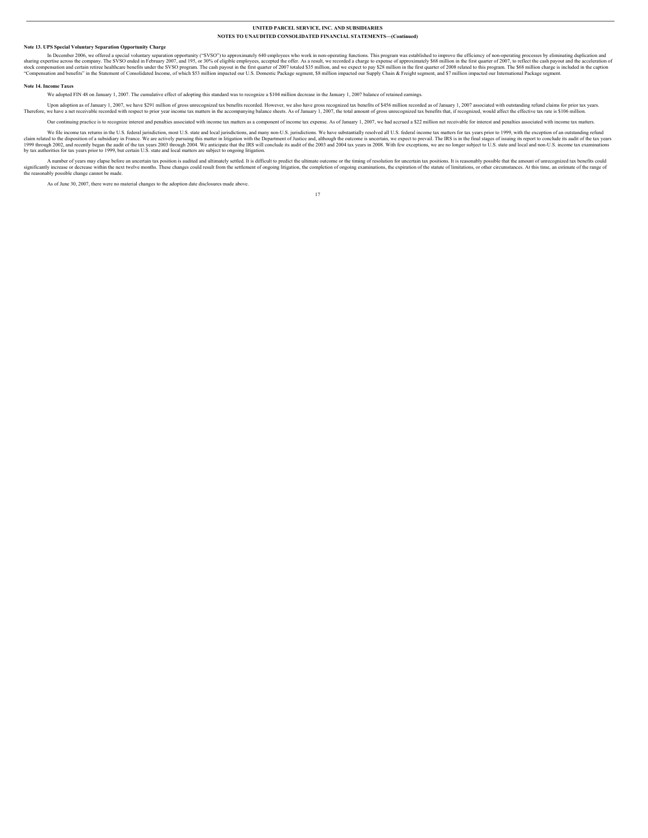#### **Note 13. UPS Special Voluntary Separation Opportunity Charge**

In December 2006, we offered a special voluntary separation opportunity ("SVSO") to approximately 640 employees who work in non-operating funcions. This program was established to improve the efficiency of non-operating pr

#### **Note 14. Income Taxes**

We adopted FIN 48 on January 1, 2007. The cumulative effect of adopting this standard was to recognize a \$104 million decrease in the January 1, 2007 balance of retained earnings.

Upon adoption as of January 1, 2007, we have \$291 million of gross unrecognized tax benefits recorded. However, we also have gross recorded with energy in gross in excepts in the accompanying balance sheets. As of January

Our continuing practice is to recognize interest and penalties associated with income tax matters as a component of income tax expense. As of January 1, 2007, we had accrued a \$22 million net receivable for interest and pe

We file income tax returns in the U.S. federal jurisdiction, most U.S. state and local jurisdictions, and many non-U.S. jurisdictions. We have substantially resolved all U.S. federal income tax matters for tax years prior

A number of years may elapse before an uncertain tax position is audited and ultimately settled. It is difficult to predict the ultimate outcome or the timing of resolution for uncertain tax positions. It is reasonably pos

As of June 30, 2007, there were no material changes to the adoption date disclosures made above.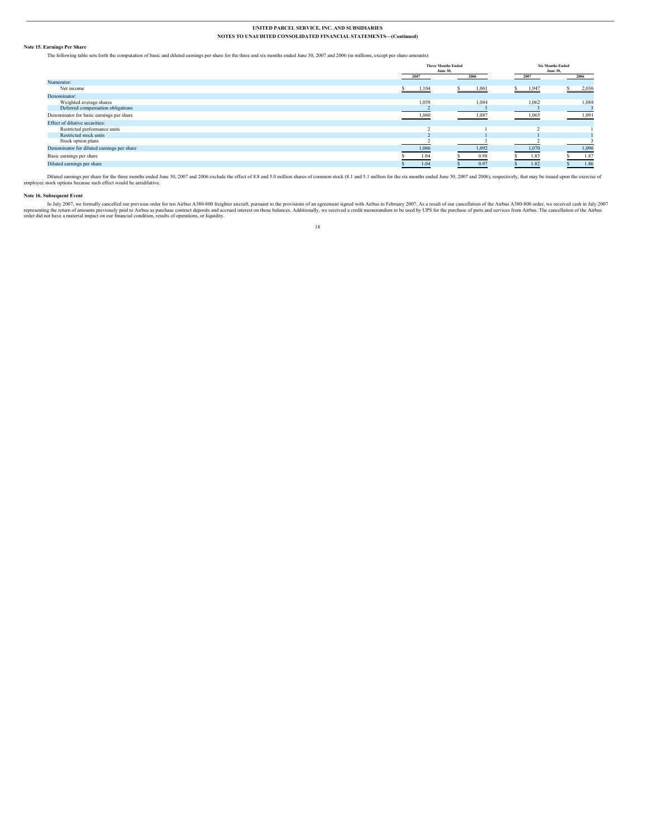#### **Note 15. Earnings Per Share**

The following table sets forth the computation of basic and diluted earnings per share for the three and six months ended June 30, 2007 and 2006 (in millions, except per share amounts):

|                                            | <b>Three Months Ended</b><br><b>June 30,</b> |       | <b>Six Months Ended</b><br><b>June 30,</b> |       |  |
|--------------------------------------------|----------------------------------------------|-------|--------------------------------------------|-------|--|
|                                            | 2007                                         | 2006  | 2007                                       | 2006  |  |
| Numerator:                                 |                                              |       |                                            |       |  |
| Net income                                 | 1,104                                        | 1,061 | 1,947                                      | 2,036 |  |
| Denominator:                               |                                              |       |                                            |       |  |
| Weighted average shares                    | 1,058                                        | 1,084 | 1,062                                      | 1,088 |  |
| Deferred compensation obligations          |                                              |       |                                            |       |  |
| Denominator for basic earnings per share   | 1,060                                        | 1,087 | 1,065                                      | 1,091 |  |
| Effect of dilutive securities:             |                                              |       |                                            |       |  |
| Restricted performance units               |                                              |       |                                            |       |  |
| Restricted stock units                     |                                              |       |                                            |       |  |
| Stock option plans                         |                                              |       |                                            |       |  |
| Denominator for diluted earnings per share | 1,066                                        | 1,092 | 1,070                                      | 1,096 |  |
| Basic earnings per share                   | 1.04                                         | 0.98  | 1.83                                       | 1.87  |  |
| Diluted earnings per share                 | 1.04                                         | 0.97  | 1.82                                       | 1.86  |  |

Diluted carnings per share for the three months ended June 30, 2007 and 2006 exclude the effect of 8.8 and 5.0 million shares of common stock (8.1 and 5.1 million for the six months ended June 30, 2007 and 2006), respectiv

#### **Note 16. Subsequent Event**

In July 2007, we formally cancelled our previous order for ten Airbus A380-800 freighter aircraft, pursuant to the provisions of an agreement signed with Airbus in February 2007. As a result of our cancellation of the Airb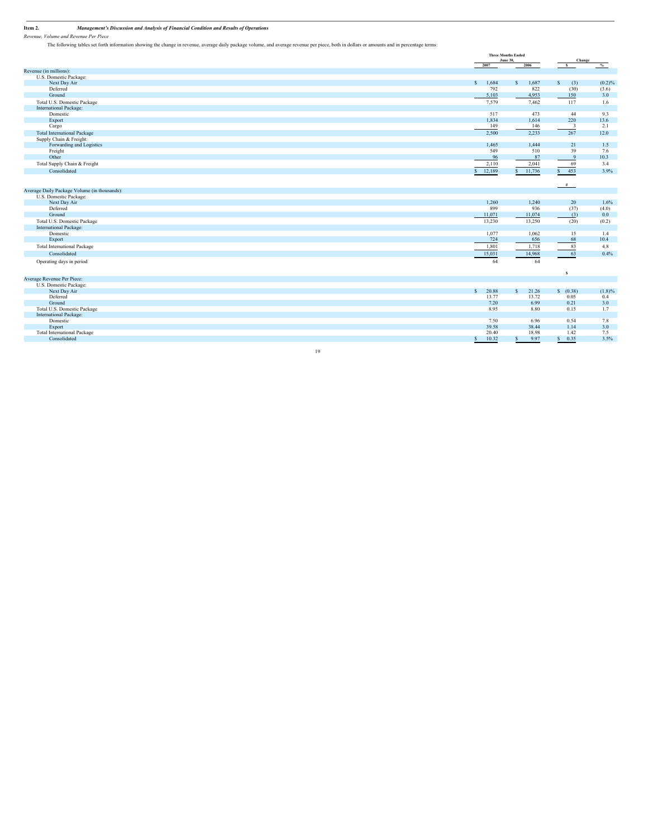**Item 2.** Management's Discussion and Analysis of Financial Condition and Results of Operations<br>Revenue, Volume and Revenue Per Piece

The following tables set forth information showing the change in revenue, average daily package volume, and average revenue per piece, both in dollars or amounts and in percentage terms:

|                                              |                        | <b>Three Months Ended</b><br>June 30, |                         | Change        |
|----------------------------------------------|------------------------|---------------------------------------|-------------------------|---------------|
|                                              | 2007                   | 2006                                  | s.                      | $\frac{9}{6}$ |
| Revenue (in millions):                       |                        |                                       |                         |               |
| U.S. Domestic Package:                       |                        |                                       |                         |               |
| Next Day Air                                 | \$ 1,684               | S<br>1,687                            | S<br>(3)                | (0.2)%        |
| Deferred                                     | 792                    | 822                                   | (30)                    | (3.6)         |
| Ground                                       | 5,103                  | 4,953                                 | 150                     | 3.0           |
| Total U.S. Domestic Package                  | 7,579                  | 7,462                                 | 117                     | 1.6           |
| International Package:                       |                        |                                       |                         |               |
| Domestic                                     | 517                    | 473                                   | 44                      | 9.3           |
| Export                                       | 1,834                  | 1,614                                 | 220                     | 13.6          |
| Cargo                                        | 149                    | 146                                   | $\overline{\mathbf{3}}$ | 2.1           |
| <b>Total International Package</b>           | 2,500                  | 2,233                                 | 267                     | 12.0          |
| Supply Chain & Freight:                      |                        |                                       |                         |               |
| Forwarding and Logistics                     | 1,465                  | 1,444                                 | 21                      | 1.5           |
| Freight                                      | 549                    | 510                                   | 39                      | 7.6           |
| Other                                        | 96                     | 87                                    | 9                       | 10.3          |
| Total Supply Chain & Freight                 | 2,110                  | 2,041                                 | 69                      | 3.4           |
| Consolidated                                 | 12,189<br>$\mathbf{s}$ | 11,736<br>$\mathbf{s}$                | \$ 453                  | 3.9%          |
|                                              |                        |                                       |                         |               |
|                                              |                        |                                       | #                       |               |
| Average Daily Package Volume (in thousands): |                        |                                       |                         |               |
| U.S. Domestic Package:                       |                        |                                       |                         |               |
| Next Day Air                                 | 1,260                  | 1,240                                 | 20                      | 1.6%          |
| Deferred                                     | 899                    | 936                                   | (37)                    | (4.0)         |
| Ground                                       | 11,071                 | 11,074                                | (3)                     | 0.0           |
| Total U.S. Domestic Package                  | 13,230                 | 13,250                                | (20)                    | (0.2)         |
| International Package:                       |                        |                                       |                         |               |
| Domestic                                     | 1,077                  | 1,062                                 | 15                      | 1.4           |
| Export                                       | 724                    | 656                                   | 68                      | 10.4          |
| <b>Total International Package</b>           | 1,801                  | 1,718                                 | 83                      | 4.8           |
| Consolidated                                 | 15,031                 | 14,968                                | 63                      | 0.4%          |
|                                              |                        |                                       | -                       |               |
| Operating days in period                     | 64                     | 64                                    |                         |               |
|                                              |                        |                                       | $\sim$ s                |               |
| Average Revenue Per Piece:                   |                        |                                       |                         |               |
| U.S. Domestic Package:                       |                        |                                       |                         |               |
| Next Day Air                                 | $\mathbf{s}$<br>20.88  | 21.26<br>s.                           | S(0.38)                 | $(1.8)\%$     |
| Deferred                                     | 13.77                  | 13.72                                 | 0.05                    | 0.4           |
| Ground                                       | 7.20                   | 6.99                                  | 0.21                    | 3.0           |
| Total U.S. Domestic Package                  | 8.95                   | 8.80                                  | 0.15                    | 1.7           |
| International Package:                       |                        |                                       |                         |               |
| Domestic                                     | 7.50                   | 6.96                                  | 0.54                    | 7.8           |
| Export                                       | 39.58                  | 38.44                                 | 1.14                    | 3.0           |
| <b>Total International Package</b>           | 20.40                  | 18.98                                 | 1.42                    | 7.5           |
| Consolidated                                 | 10.32<br>$\mathbf{s}$  | 9.97<br>S                             | 0.35<br>s.              | 3.5%          |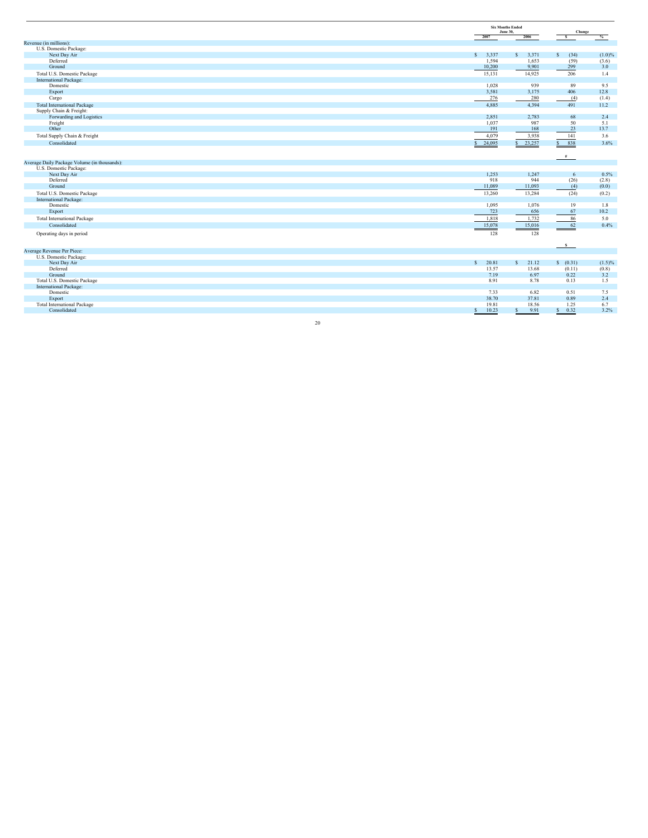|                                              |                        | <b>Six Months Ended</b><br><b>June 30.</b> |              | Change       |
|----------------------------------------------|------------------------|--------------------------------------------|--------------|--------------|
|                                              | 2007                   | 2006                                       | $\mathbf{s}$ | %            |
| Revenue (in millions):                       |                        |                                            |              |              |
| U.S. Domestic Package:                       |                        |                                            |              |              |
| Next Day Air<br>Deferred                     | $S = 3,337$            | s.<br>3,371                                | s.<br>(34)   | $(1.0)\%$    |
| Ground                                       | 1,594                  | 1,653                                      | (59)<br>299  | (3.6)<br>3.0 |
|                                              | 10,200                 | 9,901                                      |              |              |
| Total U.S. Domestic Package                  | 15,131                 | 14,925                                     | 206          | 1.4          |
| International Package:                       |                        |                                            |              |              |
| Domestic                                     | 1,028                  | 939                                        | 89           | 9.5          |
| Export                                       | 3,581                  | 3,175                                      | 406          | 12.8         |
| Cargo                                        | 276                    | 280                                        | (4)          | (1.4)        |
| <b>Total International Package</b>           | 4,885                  | 4,394                                      | 491          | 11.2         |
| Supply Chain & Freight:                      |                        |                                            |              |              |
| Forwarding and Logistics                     | 2,851                  | 2,783                                      | 68           | 2.4          |
| Freight                                      | 1,037                  | 987                                        | 50           | 5.1          |
| Other                                        | 191                    | 168                                        | 23           | 13.7         |
| Total Supply Chain & Freight                 | 4,079                  | 3,938                                      | 141          | 3.6          |
| Consolidated                                 | 24,095<br>$\mathbf{S}$ | 23,257<br>$\mathbf S$                      | S<br>838     | 3.6%         |
|                                              |                        |                                            |              |              |
|                                              |                        |                                            | #            |              |
| Average Daily Package Volume (in thousands): |                        |                                            |              |              |
| U.S. Domestic Package:                       |                        |                                            |              |              |
| Next Day Air                                 | 1,253                  | 1,247                                      | 6            | 0.5%         |
| Deferred                                     | 918                    | 944                                        | (26)         | (2.8)        |
| Ground                                       | 11,089                 | 11,093                                     | (4)          | (0.0)        |
| Total U.S. Domestic Package                  | 13,260                 | 13,284                                     | (24)         | (0.2)        |
| International Package:                       |                        |                                            |              |              |
| Domestic                                     | 1,095                  | 1,076                                      | 19           | 1.8          |
| Export                                       | 723                    | 656                                        | 67           | 10.2         |
| Total International Package                  | 1,818                  | 1,732                                      | 86           | 5.0          |
| Consolidated                                 | 15,078                 | 15,016                                     | 62           | 0.4%         |
| Operating days in period                     | 128                    | 128                                        |              |              |
|                                              |                        |                                            |              |              |
|                                              |                        |                                            | $\mathbf{s}$ |              |
| Average Revenue Per Piece:                   |                        |                                            |              |              |
| U.S. Domestic Package:                       |                        |                                            |              |              |
| Next Day Air                                 | 20.81<br>S             | $\mathbf{s}$<br>21.12                      | S(0.31)      | $(1.5)\%$    |
| Deferred                                     | 13.57                  | 13.68                                      | (0.11)       | (0.8)        |
| Ground                                       | 7.19                   | 6.97                                       | 0.22         | 3.2          |
| Total U.S. Domestic Package                  | 8.91                   | 8.78                                       | 0.13         | 1.5          |
| International Package:                       |                        |                                            |              |              |
| Domestic                                     | 7.33                   | 6.82                                       | 0.51         | 7.5          |
| Export                                       | 38.70                  | 37.81                                      | 0.89         | 2.4          |
| <b>Total International Package</b>           | 19.81                  | 18.56                                      | 1.25         | 6.7          |
| Consolidated                                 | 10.23<br>S             | 9.91<br>$\mathbf{s}$                       | 0.32<br>s.   | 3.2%         |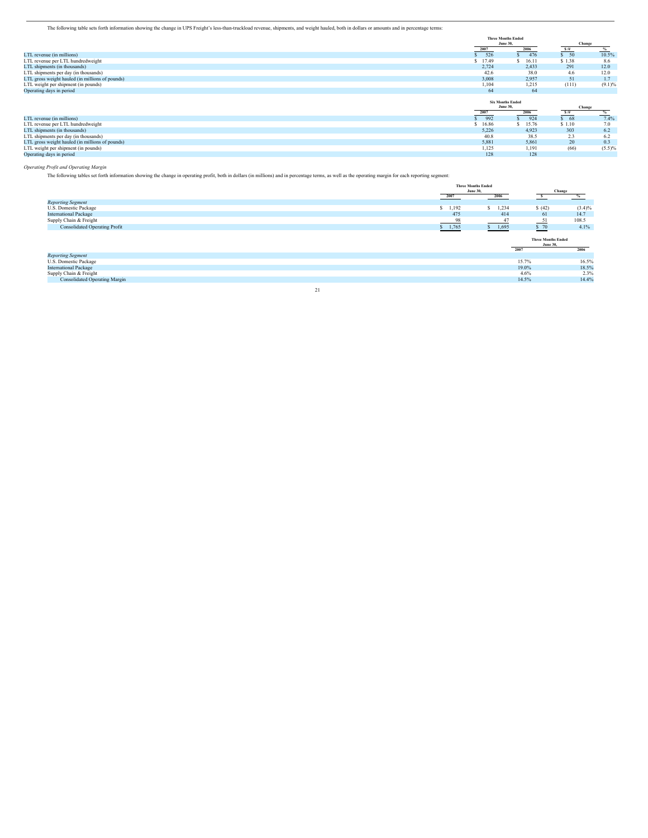The following table sets forth information showing the change in UPS Freight's less-than-truckload revenue, shipments, and weight hauled, both in dollars or amounts and in percentage terms:

|                                                 | <b>Three Months Ended</b><br><b>June 30.</b> |        | Change         |           |
|-------------------------------------------------|----------------------------------------------|--------|----------------|-----------|
|                                                 | 2007                                         | 2006   | S/H<br>$-1111$ |           |
| LTL revenue (in millions)                       | 526                                          | \$ 476 | \$50           | 10.5%     |
| LTL revenue per LTL hundredweight               | \$17.49                                      | 16.11  | \$1.38         | 8.6       |
| LTL shipments (in thousands)                    | 2,724                                        | 2,433  | 291            | 12.0      |
| LTL shipments per day (in thousands)            | 42.6                                         | 38.0   | 4.6            | 12.0      |
| LTL gross weight hauled (in millions of pounds) | 3,008                                        | 2,957  | 51             | 1.7       |
| LTL weight per shipment (in pounds)             | 1,104                                        | 1,215  | (111)          | $(9.1)\%$ |
| Operating days in period                        | 64                                           | 64     |                |           |
|                                                 | <b>Six Months Ended</b><br><b>June 30,</b>   |        | Change         |           |
|                                                 |                                              |        |                |           |
|                                                 | 2007                                         | 2006   |                |           |
| LTL revenue (in millions)                       | 992                                          | 924    | S/H<br>\$68    | 7.4%      |
| LTL revenue per LTL hundredweight               | \$16.86                                      | 15.76  | \$1.10         | 7.0       |
| LTL shipments (in thousands)                    | 5,226                                        | 4,923  | 303            | 6.2       |
| LTL shipments per day (in thousands)            | 40.8                                         | 38.5   | 2.3            | 6.2       |
| LTL gross weight hauled (in millions of pounds) | 5,881                                        | 5,861  | 20             | 0.3       |
| LTL weight per shipment (in pounds)             | 1,125                                        | 1,191  | (66)           | $(5.5)\%$ |

*Operating Profit and Operating Margin*

The following tables set forth information showing the change in operating profit, both in dollars (in millions) and in percentage terms, as well as the operating margin for each reporting segment:

|                                      |    |             | <b>Three Months Ended</b><br><b>June 30,</b> |             |                                                      | Change    |
|--------------------------------------|----|-------------|----------------------------------------------|-------------|------------------------------------------------------|-----------|
|                                      |    | 2007        |                                              | 2006        | $\rightarrow$                                        | %         |
| <b>Reporting Segment</b>             |    |             |                                              |             |                                                      |           |
| U.S. Domestic Package                |    |             | 1,192                                        | 1,234<br>S. | (42)                                                 | $(3.4)\%$ |
| <b>International Package</b>         |    |             | 475                                          | 414         | 61                                                   | 14.7      |
| Supply Chain & Freight               |    |             | 98                                           | 47          | 51<br><b>Contract Contract</b>                       | 108.5     |
| <b>Consolidated Operating Profit</b> |    | $S = 1,765$ |                                              | $S = 1,695$ | $\frac{\$}$ 70                                       | 4.1%      |
|                                      |    |             |                                              |             | <b>Three Months Ended</b><br><b>June 30,</b><br>2007 | 2006      |
| <b>Reporting Segment</b>             |    |             |                                              |             |                                                      |           |
| U.S. Domestic Package                |    |             |                                              |             | 15.7%                                                | 16.5%     |
| <b>International Package</b>         |    |             |                                              |             | 19.0%                                                | 18.5%     |
| Supply Chain & Freight               |    |             |                                              |             | 4.6%                                                 | 2.3%      |
| <b>Consolidated Operating Margin</b> |    |             |                                              |             | 14.5%                                                | 14.4%     |
|                                      | 21 |             |                                              |             |                                                      |           |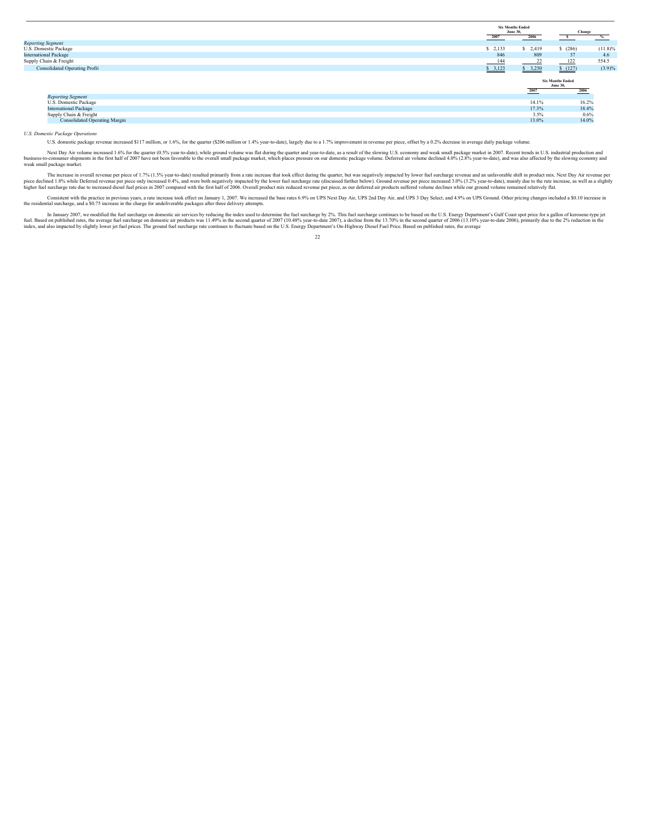|                                      |           | <b>Six Months Ended</b><br><b>June 30,</b> | Change                                             |
|--------------------------------------|-----------|--------------------------------------------|----------------------------------------------------|
|                                      | 2007      | 2006                                       | $\%$                                               |
| <b>Reporting Segment</b>             |           |                                            |                                                    |
| U.S. Domestic Package                | $S$ 2,133 | \$2,419                                    | \$ (286)<br>$(11.8)\%$                             |
| <b>International Package</b>         | 846       | 809                                        | 37<br>4.6                                          |
| Supply Chain & Freight               | 144       | 22                                         | 554.5<br>122                                       |
| <b>Consolidated Operating Profit</b> | \$3,123   | \$3,250                                    | $(3.9)\%$<br>S(127)                                |
|                                      |           | 2007                                       | <b>Six Months Ended</b><br><b>June 30.</b><br>2006 |
| <b>Reporting Segment</b>             |           |                                            |                                                    |
| U.S. Domestic Package                |           | 14.1%                                      | 16.2%                                              |
| <b>International Package</b>         |           | 17.3%                                      | 18.4%                                              |
| Supply Chain & Freight               |           | 3.5%                                       | 0.6%                                               |
| <b>Consolidated Operating Margin</b> |           | 13.0%                                      | 14.0%                                              |

*U.S. Domestic Package Operations*

U.S. domestic package revenue increased \$117 million, or 1.6%, for the quarter (\$206 million or 1.4% year-to-date), largely due to a 1.7% improvement in revenue per piece, offset by a 0.2% decrease in average daily package

Next Day Air volume increased 1.6% for the quarter (0.5% year-to-date), while ground volume was flat during the quarter and year-to-date, as a result of the slowing U.S. economy and weak small package market in 2007. Recen

The increase in overall revenue per piece of 1.7% (1.5% year-to-date) resulted primarily from a rate increase that took effect during the quarter, but was negatively impacted by lower fuel surcharge revenue and an unfavora

Consistent with the pracine in previous years, a rate increase took effect on January 1, 2007. We increased the base rates 6.9% on UPS Next Day Air, UPS 2nd Day Air, and UPS 3 Day Select, and 4.9% on UPS Ground. Other pric

In January 2007, we modified the fuel surcharge on domestic air services by reducing the index used to determine the fuel surcharge by 2%. This fuel surcharge continues to be based on the U.S. Energy Department's Gulf Coas  $22$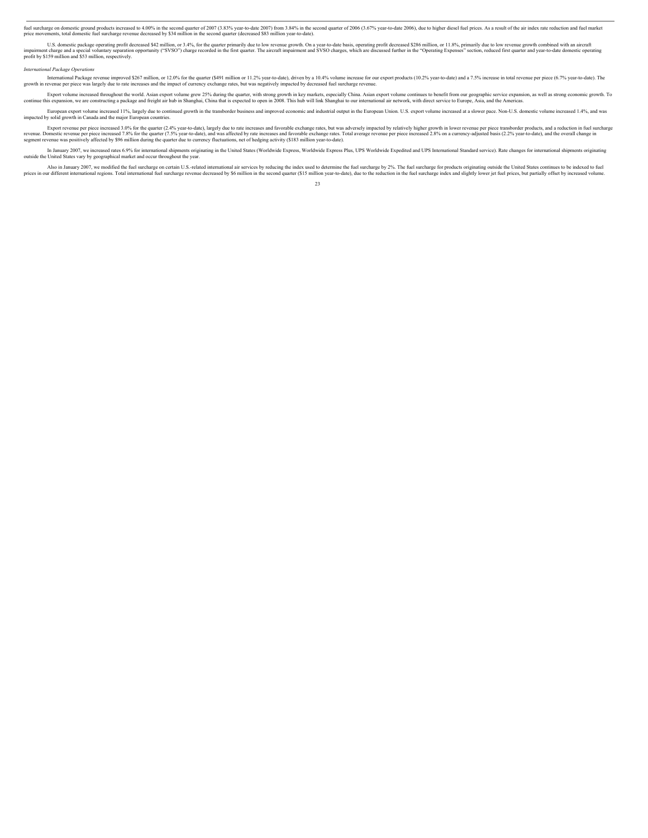fuel surface mediance on domestic ground products increased by the surface intersect of a state-decomeding a Sawy in the second quarter of 2006 (3.67% year-to-date 2006), due to higher diesel fuel prices. As a result of th

U.S. domestic package operating profit decreased \$42 million, or 3.4%, for the quarter primarily due to low revenue growth. On a year-loade basis, operating profit decreased \$280 million, or 11.8%, primarily due to low rev profit by \$159 million and \$53 million, respectively.

#### *International Package Operations*

International Package revenue improved \$267 million, or 12.0% for the quarter (\$491 million or 11.2% year-to-date), driven by a 10.4% volume increases and the impact of currency exchange rates, but was negatively impacted

Export volume increased throughout the world. Asian export volume grev 25% during the quarter, with strong growth in key markets, especially China. Asian export bill strong economic growth. To<br>continue this expansion, we a

European export volume increased 11%, largely due to continued growth in the transborder business and improved economic and industrial output in the European Union. U.S. export volume increased at a slower pace. Non-U.S. d

Export revenue per piece increased 3.0% for the quarter (2.4% year-to-date), largely due to rate increases and favorable exchange rates, but was adversely impacted by relatively higher growth in lower revenue per piece tra

In January 2007, we increased rates 6.9% for international shipments originating in the United States (Worldwide Express, Worldwide Express Plus, UPS Worldwide Explect and UPS International Standard service). Rate changes outside the United States vary by geographical market and occur throughout the year.

Also in January 2007, we modified the fuel surcharge on certain U.S.-related international air services by reducing the index used to determine the fuel surcharge by 2%. The fuel surcharge in products originating outside t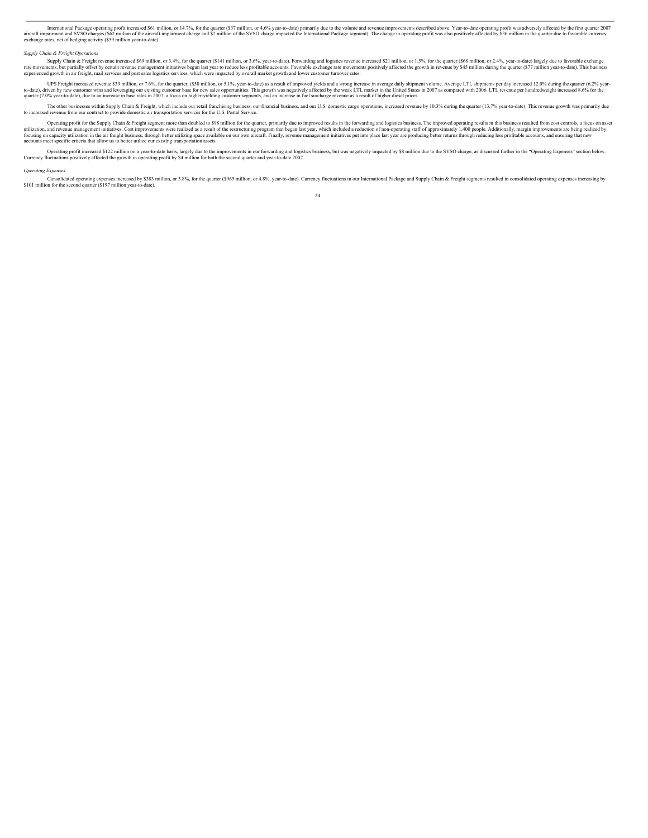International Package operating profit increased S61 million, or 14.7%, for the quarter (S37 million, or 14.7%, for the granter (S37 million of the aircraft impairment charge and S7 million of the SVSO charge empected the extend the measurement and SVSO charges (\$62 million of the aircraft exchange rates, net of hedging activity (\$59 million year-to-date).

#### *Supply Chain & Freight Opera*

Supply Chain & Freight revenue increased \$69 million, or 3.4%, for the quarter (\$141 million, or 3.6%, year-to-date). Forwarding and logistics revenue increased \$21 million, or 1.5%, for the quarter (\$68 million, or 2.4%,

UPS Freight increased revenue \$39 million, or 7.6%, for the quarter, (\$50 million, or 7.1%, year-to-date) as a result of improved yields and a strong increase in average daily shipment volume. Average LTL shipments per day

The other businesses within Supply Chain & Freight, which include our retail franchising business, our financial business, and our U.S. domestic cargo operations, increased revenue by 10.3% during the quarter (13.7% year-t

Operating profit for the Supply Chain & Freight segment more than doubled to \$98 million for the quarter, primarily due to improved results in the forwarding and logistics business. The improved operating results in this b

Operating profit increased \$122 million on a year-to-date basis, largely due to the improvements in our forwarding and logistics business, but was negatively impacted by \$8 million due to the SVSO charge, as discussed furt

#### *Operating Expenses*

Consolidated operating expenses increased by \$383 million, or 3.8%, for the quarter (\$965 million, or 4.8%, year-to-date). Currency fluctuations in our International Package and Supply Chain & Freight segments resulted in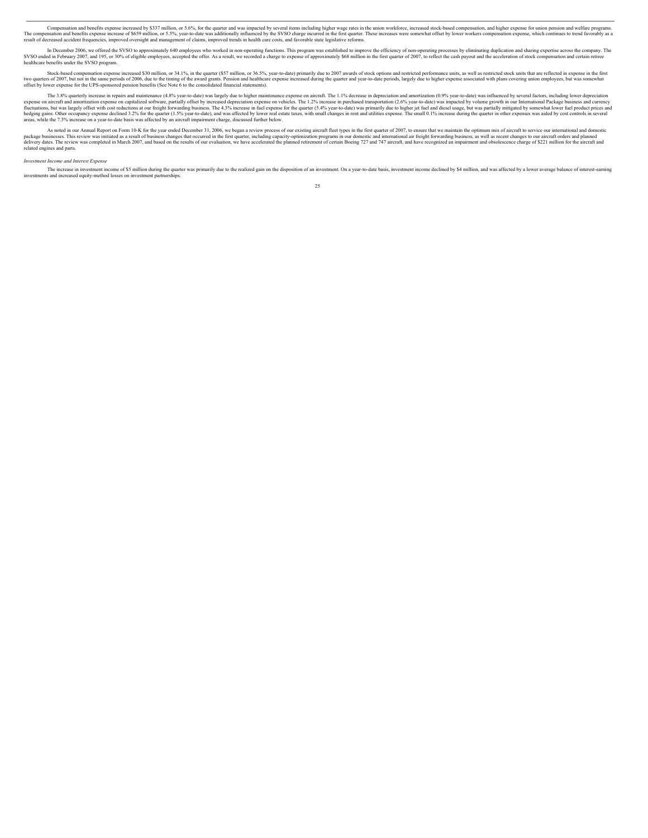Compensation and benefits expense increased by \$337 million, or 5.6%, for the quarter and was impacted by several item sinced by the SVSO charge incurred in the first quarter. These increases were somewhat offset by lower result of decreased accident frequencies, improved oversight and management of claims, improved trends in health care costs, and favorable state legislative reforms.

In December 2006, we offered the SVSO to approximately 640 employees who worked in non-operating functions. This program was established to improve the efficiency of non-operating processes by eliminating duplication and s

Stock-based compensation expense increased \$30 million, or 34.1%, in the quarter (\$57 million, or 36.5%, year-to-date) primarily due to 2007 awards of stock options and restricted performance units, as well as restricted s

The 3.8% quarterly increase in repairs and maintenance (4.8% year-to-date) was largely due to higher maintenance expense on aircraft. The 1.1% decrease in depreciation and amortization (0.9% year-to-date) was influenced by expense on aircraft and amortization expense on capitalized software, partially offset by increased depreciation expense on vehicles. The 1.2% increase in purchased transportation (2.6% year-to-date) was impacted by volume

As noted in our Annual Report on Form 10-K for the year ended December 31, 2006, we began a review process of our existing aircraft fleet types in the first quarter of 2007, to ensure that we maintain the optimum mix of ai

#### *Investment Income and Interest Expense*

The increase in investment income of \$5 million during the quarter was primarily due to the realized gain on the disposition of an investment. On a year-to-date basis, investment income declined by \$4 million, and was affe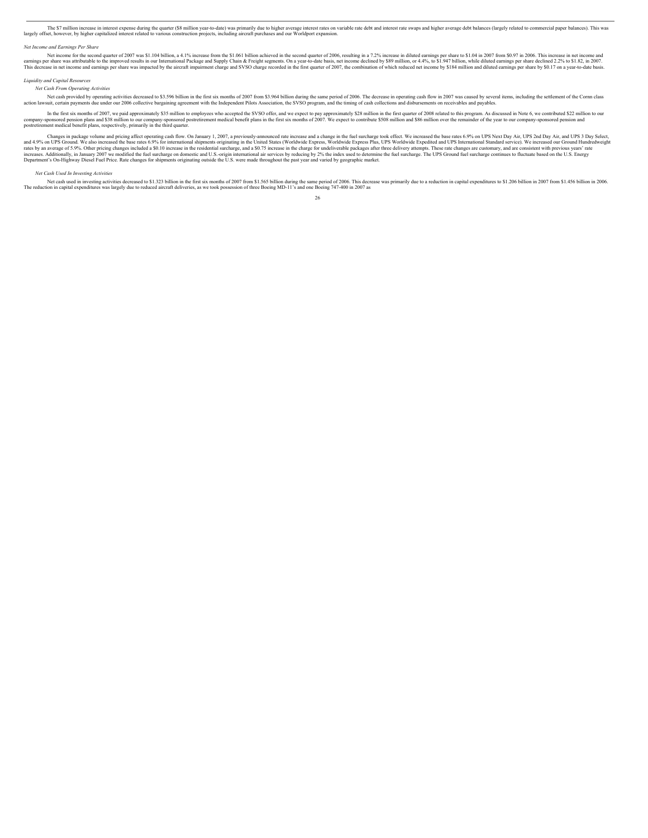The S7 million increase in interest expense during the quarter (\$8 million year-to-date) was primarily due to higher average net artest rates on variable rate debt and interest rate swaps and higher average debt balances (

#### *Net Income and Earnings Per Share*

Net income for the second quarter of 2007 was \$1.104 billion, a 4.1% increase from the \$1.061 billion achieved in the second quarter of 2006, resulting in a 7.2% increase in diluted earnings per share to \$1.04 in 2007 from

#### *Liquidity and Capital Resources*

*Net Cash From Operating Activities*

Net cash provided by operating activities decreased to \$3.5% billion in the first six months of 2007 from S3.964 billion during the senthal of the Comn class<br>action lawsuit, certain payments due under our 2006 collective b

In the first six months of 2007, we paid approximately \$35 million to employees who accepted the SVSO offer, and we expect to pay approximately \$28 million in the first quarter of 2008 related to this program. As discussed

Changes in package volume and pricing affect operating and Now. On January 1, 2007, a previously-announced rate increase and a change in the fuel surcharge took effect. We increased the base rates 6.9% on UPS Next Day Air,

#### *Net Cash Used In Investing Activities*

Net cash used in investing activities decreased to \$1.323 billion in the first six months of 2007 from \$1.563 billion in 2006. This decrease was primarily due to a reduction in capital expenditures to \$1.206 billion in 200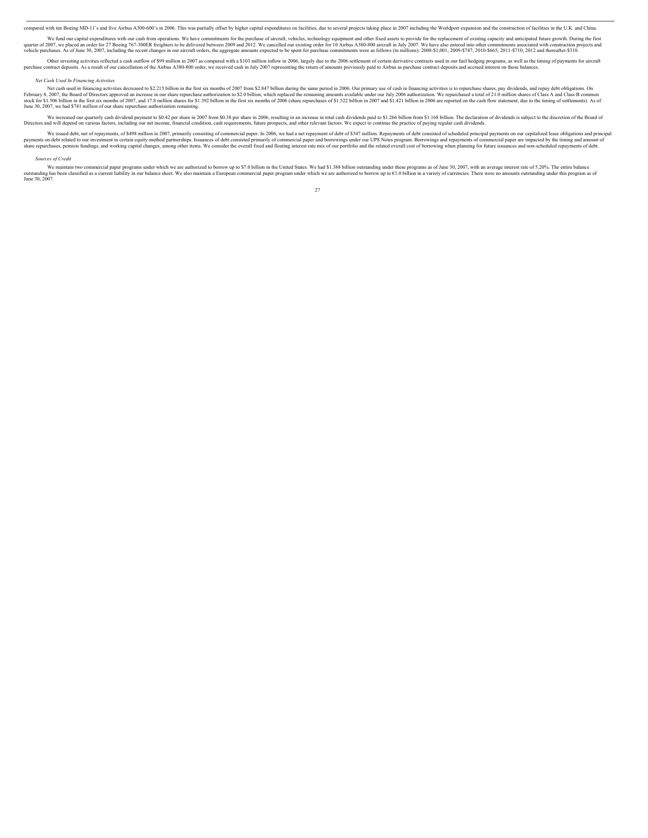compared with ten Boeing MD-11's and five Airbus A300-600's in 2006. This was partially offset by higher capital expenditures on facilities, due to several projects taking place in 2007 including the Worldport expansion an

We fund our capital expenditures with our cash from operations. We have commitments for the purchase of aircraft, vehicles, technology equipment and other fixed assets to provide for the replacement of existing capacity an

Other investing activities reflected a cash outflow of \$99 million in 2007 as compared with a \$103 million inflow in 2007 basely due to the 2006 settlement of cerain of the Airbus A380-800 order, we received cash in July 2

#### *Net Cash Used In Financing Activities*

Net cash used in financing activities decreased to \$2.215 billion in the first six months of 2007 from \$2.847 billion during the same period in 2006. Our primary use of cash in financing activities is to repurchase shares, June 30, 2007, we had \$741 million of our share repurchase authorization remaining.

We increased our quarterly cash dividend payment to \$0.42 per share in 2007 from \$0.38 per share in 2006, resulting in an increase in total cash dividends paid to \$1.266 billion from \$1.168 billion. The declaration of divi Directors and will depend on various factors, including our net income, financial condition, cash requirements, future prospects, and other relevant factors. We expect to continue the practice of paying regular cash divide

We issued debt, net of repayments, of \$498 million in 2007, primarily consisting of commercial paper. In 2006, we had a net repayment of debt of \$347 million. Repayments of debt consisted of scheduled principal payments on

#### *Sources of Credit*

We maintain two commercial paper programs under which we are authorized to borrow up to \$7.0 billion in the United States. We had \$1.388 billion outstanding under these programs as of June 30, 2007, with an average interes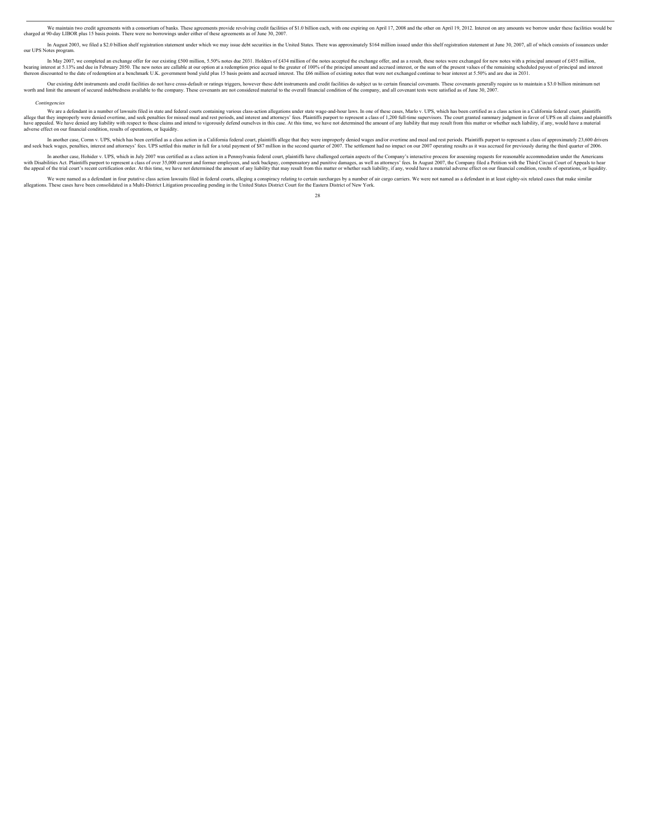We maintain two credit agreements with a consortium of banks. These agreements provide revolving credit facilities of \$1.0 billion each, with one expiring on April 17, 2008 and the other on April 19, 2012. Interest on any

In August 2003, we filed a \$2.0 billion shelf registration statement under which we may issue debt securities in the United States. There was approximately \$164 million issued under this shelf registration statement at Jun

In May 2007, we completed an exchange offer for our existing £500 million, 5.50% notes due 2031. Holders of £435 million of the notice are callable at our option at a redemption price equal to the greater of 100% of the pr thereon discounted to the date of redemption at a benchmark U.K. government bond yield plus 15 basis points and accrued interest. The £66 million of existing notes that were not exchanged continue to bear interest at 5.50%

Our existing debt instruments and credit facilities do not have cross-definit or ratings triggers, however these collisation of the company. These coverants are not considered mistruments and credit facilities do subject u

#### *Contingencies*

We are a defendant in a number of lawsuits filed in state and federal counts containing various class-action allegations under state wage-and-hour laws. In one of these cases, Marlo v. UPS, which has been certified as a cl

In another case, Com v, UPS, which has been certified as a class as closic as ition in a California federal court, plaintifis allege that they were improperly denis cases. CDS settled this matter in full for a total paymen

In another case, Hohider v. UPS, which in July 2007 was certified as a class action in a Pennsylvania federal court, plaintiffs have challenged certain aspects of the Company's interactive process for assessing requests fo

We were named as a defendant in four putative class action lawsuits filed in federal courts, alleging a conspirary related in a Multi-District Litigation proceeding pending in the United States District Court for the Easte

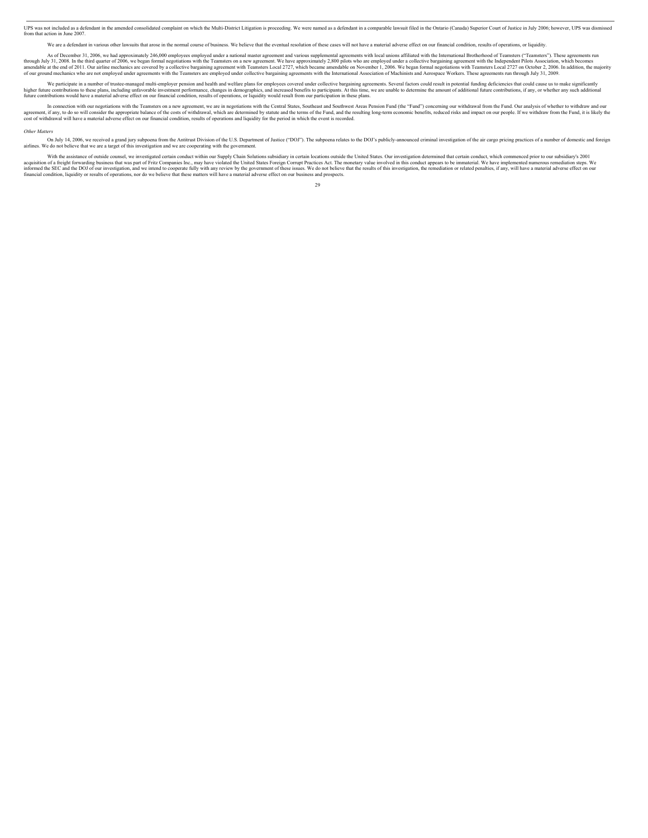UPS was not included as a defendant in the amended consolidated complaint on which the Multi-District Litigation is proceeding. We were named as a defendant in a comparable lawsuit filed in the Ontario (Canada) Superior Co from that action in June 2007.

We are a defendant in various other lawsuits that arose in the normal course of business. We believe that the eventual resolution of these cases will not have a material adverse effect on our financial condition, results o

As of December 31, 2006, we had approximately 246,000 employees employed under a national master agreement and various supplemental agreements with local unions affiliated with the International Brotherhood of Teamsters ("

We participate in a number of trustee-managed multi-employer pension and health and welfare plans for employees covered under collective bargaining agreements. Several factors could result in potential funding deficiencies higher future contributions to these plans, including unfavorable invorsble investment performance, changes in demographics, and increased benefits to part in including that inne, we are unable to determine the amount of a

In connection with our negotiations with the Teamsters on a new agreement, we are in negotiations with the Central States, Southeast and Southwest Areas Pension Fund (the "Fund") concerning our withdrawal from the Fund, Du

#### *Other Matters*

On July 14, 2006, we received a grand jury subpoen from the Antitrust Division of the U.S. Department of Justice ("DOJ"). The subpoena relates to the DOJ's publicly-announced criminal investigation of the air cargo pricing

With the assistance of outside counsel, we investigated certain conduct within our Supply Chain Solutions subsidiary in certain locations outside the United States. Our investigation determined that certain conduct, which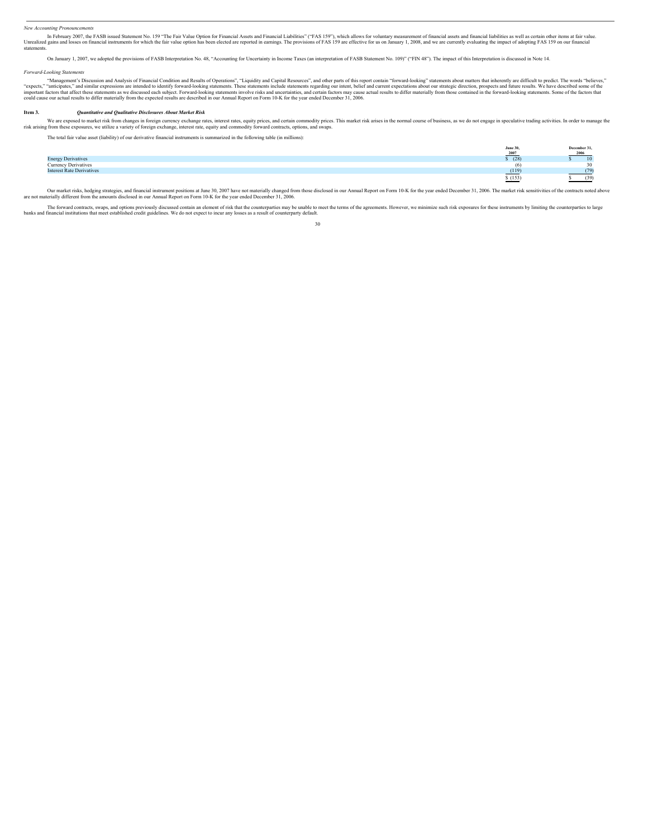#### *New Accounting Pronouncements*

In February 2007, the FASB issued Statement No. 159 "The Fair Value Option for Financial Assets and Financial Sast saffer in The Statement South in the fair value option has been elected are reported in earnings. The provi statements.

On January 1, 2007, we adopted the provisions of FASB Interpretation No. 48, "Accounting for Uncertainty in Income Taxes (an interpretation of FASB Statement No. 109)" ("FIN 48"). The impact of this Interpretation is discu

#### *Forward-Looking Statements*

"Management's Discussion and Analysis of Financial Condition and Results of Operations,", "Liquidity and Capital Resources", and other parts of this report contain "forward-looking" statements shout matters that inherently

#### **Item 3.***Quantitative and Qualitative Disclosures About Market Risk*

We are exposed to market risk from changes in foreign curency exchange rates, interest rates, equity prices, and certain commodity prices, and extract a mean of business, as we do not engage in speculative trading activiti

The total fair value asset (liability) of our derivative financial instruments is summarized in the following table (in millions):

|                                  | June 30,<br>2007 | December 31,<br>2006 |
|----------------------------------|------------------|----------------------|
| <b>Energy Derivatives</b>        | (28)             | 10 <sup>1</sup>      |
| <b>Currency Derivatives</b>      | $\omega$         |                      |
| <b>Interest Rate Derivatives</b> | (119)            |                      |
|                                  | \$(153)          | (39)                 |

Our market risks, hedging strategies, and financial instrument positions at June 30, 2007 have not materially changed from those disclosed in our Annual Report on Form 10-K for the year ended December 31, 2006. The market

The forward contracts, swaps, and options previously discussed contain an element of risk that the counterparties may be unable to meet the terms of the agreements. However, we minimize such risk exposures for these instru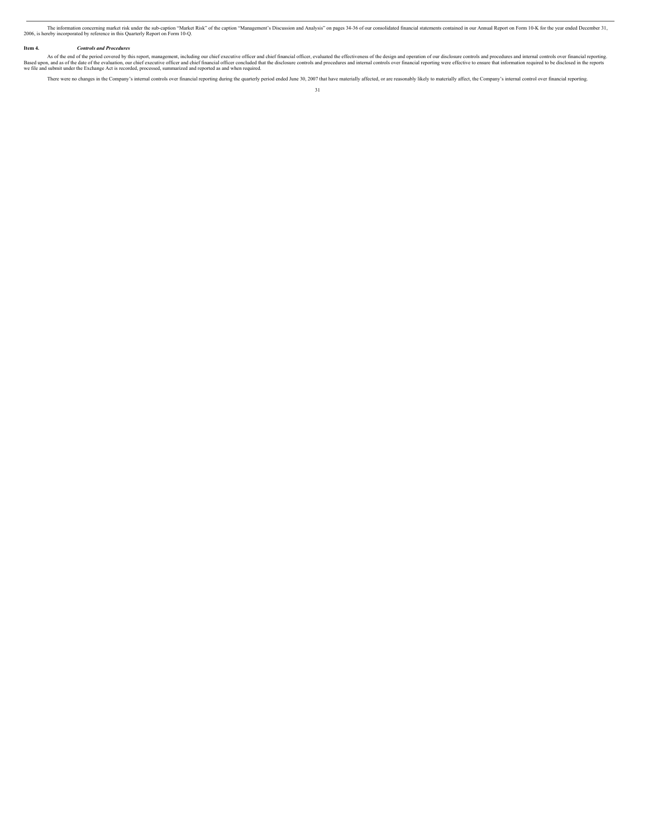The information concerning marker trisk under the sub-caption "Market Risk" of the caption "Management's Discussion and Analysis" on pages 34-36 of our consolidated financial statements contained in our Annual Report on Fo

#### **Item 4.***Controls and Procedures*

As of the end of the period covered by this report, management, including our chief executive officer and chief financial officer, evaluated the effectiveness of the design and operation of our disclosure controls and proc

There were no changes in the Company's internal controls over financial reporting during the quarterly period ended June 30, 2007 that have materially affected, or are reasonably likely to materially affect, the Company's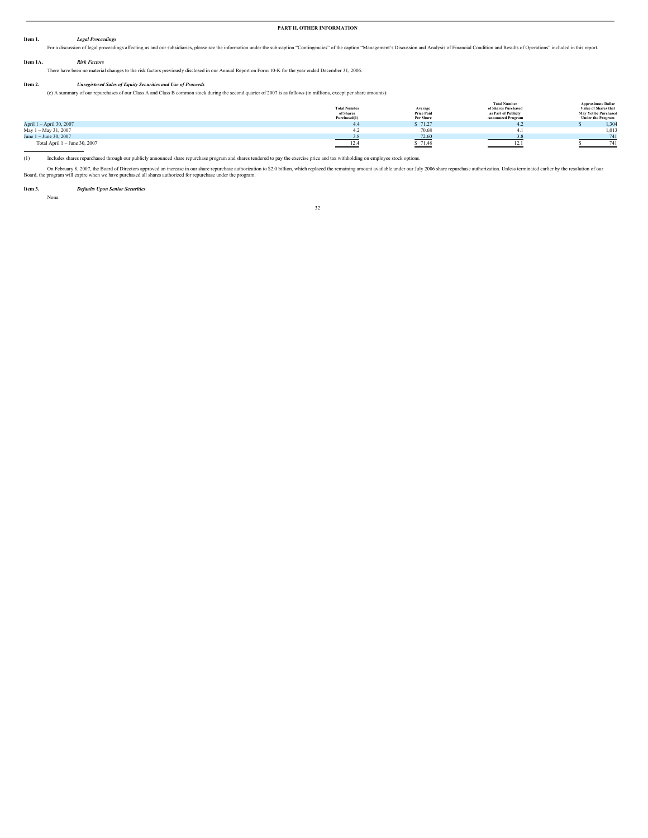#### **PART II. OTHER INFORMATION**

#### **Item 1.***Legal Proceedings*

For a discussion of legal proceedings affecting us and our subsidiaries, please see the information under the sub-caption "Contingencies" of the caption "Management's Discussion and Analysis of Financial Condition and Resu **Item 1A.** *Risk Factors*

There have been no material changes to the risk factors previously disclosed in our Annual Report on Form 10-K for the year ended December 31, 2006.

#### **Item 2.***Unregistered Sales of Equity Securities and Use of Proceeds*

(c) A summary of our repurchases of our Class A and Class B common stock during the second quarter of 2007 is as follows (in millions, except per share amounts):

|                               | <b>Total Number</b><br>of Shares<br>Purchased(1) | Average<br><b>Price Paid</b><br>Per Share $\frac{1}{2}$ | <b>Total Number</b><br>of Shares Purchased<br>as Part of Publicly<br><b>Announced Program</b> | <b>Approximate Dollar</b><br>Value of Shares that<br><b>May Yet be Purchased</b><br><b>Under the Program</b> |
|-------------------------------|--------------------------------------------------|---------------------------------------------------------|-----------------------------------------------------------------------------------------------|--------------------------------------------------------------------------------------------------------------|
| April 1 - April 30, 2007      | 4.4                                              |                                                         |                                                                                               | 1,304                                                                                                        |
| May 1 - May 31, 2007          |                                                  | 70.68                                                   |                                                                                               | 1,013                                                                                                        |
| June 1 - June 30, 2007        |                                                  | 72.60                                                   |                                                                                               | 741                                                                                                          |
| Total April 1 - June 30, 2007 | 12.4                                             | \$71.48                                                 | 12.1                                                                                          | 741                                                                                                          |

(1) Includes shares repurchased through our publicly announced share repurchase program and shares tendered to pay the exercise price and tax withholding on employee stock options.

On February 8, 2007, the Board of Directors approved an increase in our share repurchase authorized in the placed the remaining amount available under our July 2006 share repurchase authorization. Unless terminated earlier

**Item 3.***Defaults Upon Senior Securities* None.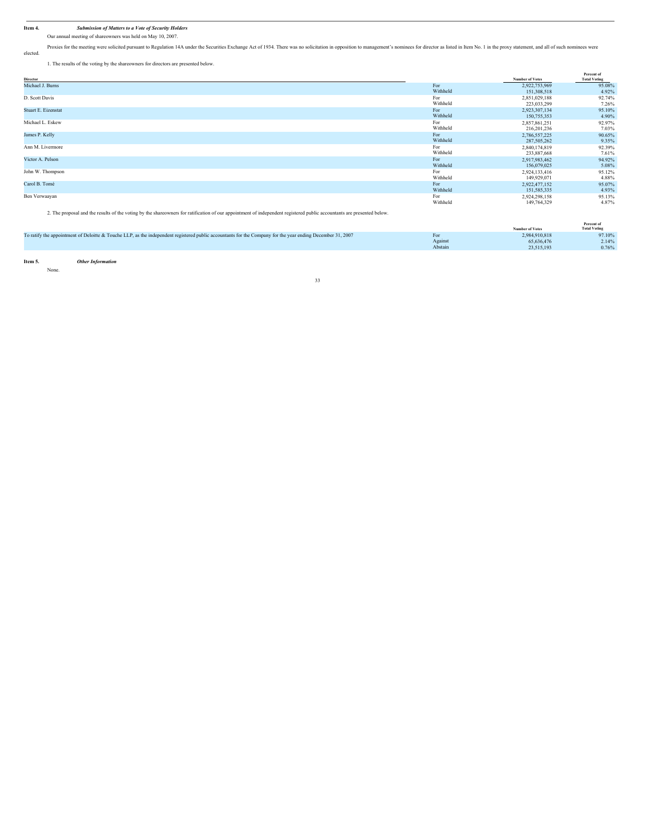**Item 4.***Submission of Matters to a Vote of Security Holders* Our annual meeting of shareowners was held on May 10, 2007.

Proxies for the meeting were solicited pursuant to Regulation 14A under the Securities Exchange Act of 1934. There was no solicitation in opposition to management's nominees for director as listed in Item No. 1 in the prox elected.

1. The results of the voting by the shareowners for directors are presented below.

| Director                                                                                                                                            |          | <b>Number of Votes</b> | Percent of<br><b>Total Voting</b> |
|-----------------------------------------------------------------------------------------------------------------------------------------------------|----------|------------------------|-----------------------------------|
| Michael J. Burns                                                                                                                                    | For      | 2,922,753,969          | 95.08%                            |
|                                                                                                                                                     | Withheld | 151,308,518            | 4.92%                             |
| D. Scott Davis                                                                                                                                      | For      | 2,851,029,188          | 92.74%                            |
|                                                                                                                                                     | Withheld | 223,033,299            | 7.26%                             |
| Stuart E. Eizenstat                                                                                                                                 | For      | 2,923,307,134          | 95.10%                            |
|                                                                                                                                                     | Withheld | 150,755,353            | 4.90%                             |
| Michael L. Eskew                                                                                                                                    | For      | 2,857,861,251          | 92.97%                            |
|                                                                                                                                                     | Withheld | 216, 201, 236          | 7.03%                             |
| James P. Kelly                                                                                                                                      | For      | 2,786,557,225          | 90.65%                            |
|                                                                                                                                                     | Withheld | 287,505,262            | 9.35%                             |
| Ann M. Livermore                                                                                                                                    | For      | 2,840,174,819          | 92.39%                            |
|                                                                                                                                                     | Withheld | 233,887,668            | 7.61%                             |
| Victor A. Pelson                                                                                                                                    | For      | 2,917,983,462          | 94.92%                            |
|                                                                                                                                                     | Withheld | 156,079,025            | 5.08%                             |
| John W. Thompson                                                                                                                                    | For      | 2,924,133,416          | 95.12%                            |
|                                                                                                                                                     | Withheld | 149,929,071            | 4.88%                             |
| Carol B. Tomé                                                                                                                                       | For      | 2,922,477,152          | 95.07%                            |
|                                                                                                                                                     | Withheld | 151,585,335            | 4.93%                             |
| Ben Verwaayan                                                                                                                                       | For      | 2,924,298,158          | 95.13%                            |
|                                                                                                                                                     | Withheld | 149,764,329            | 4.87%                             |
| A The aggregated the could of the cotton has the characterized from the constitution of the data and contained author concernsive aggregated helps: |          |                        |                                   |

2. The proposal and the results of the voting by the shareowners for ratification of our appointment of independent registered public accountants are pre

|                                                                                                                                                            |         | <b>Number of Votes</b> | Percent of<br><b>Total Voting</b> |
|------------------------------------------------------------------------------------------------------------------------------------------------------------|---------|------------------------|-----------------------------------|
| To ratify the appointment of Deloitte & Touche LLP, as the independent registered public accountants for the Company for the year ending December 31, 2007 | For     | 2.984.910.818          | 97.10%                            |
|                                                                                                                                                            | Against | 65,636,476             | 2.14%                             |
|                                                                                                                                                            | Abstain | 23.515.193             | 0.76%                             |
|                                                                                                                                                            |         |                        |                                   |

**Item 5.***Other Information* None.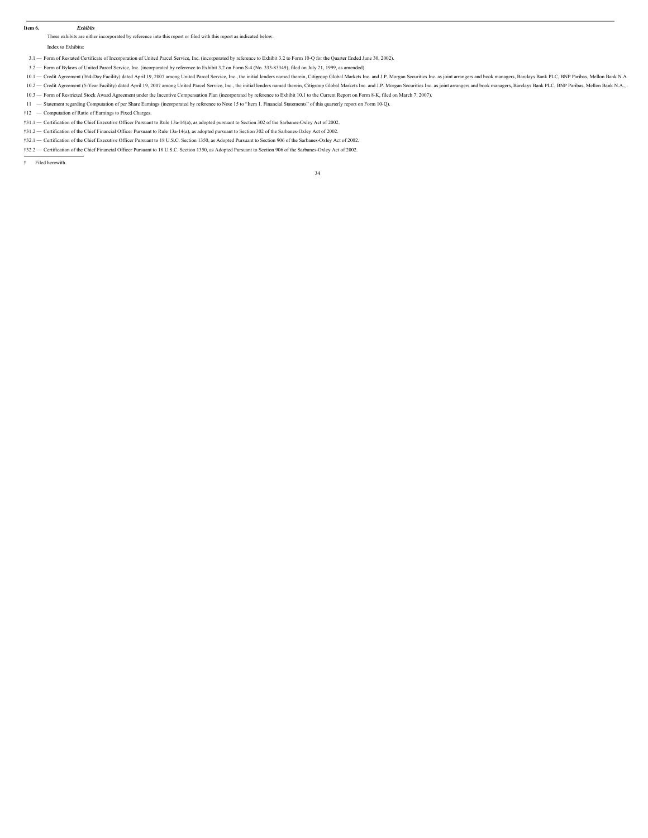**Item 6.***Exhibits*

These exhibits are either incorporated by reference into this report or filed with this report as indicated below.

Index to Exhibits:

- 3.1 Form of Restated Certificate of Incorporation of United Parcel Service, Inc. (incorporated by reference to Exhibit 3.2 to Form 10-Q for the Quarter Ended June 30, 2002).
- 3.2 Form of Bylaws of United Parcel Service, Inc. (incorporated by reference to Exhibit 3.2 on Form S-4 (No. 333-83349), filed on July 21, 1999, as amended).
- 10.1 Credit Agreement (364-Day Facility) dated April 19, 2007 among United Parcel Service, Inc., the initial lenders named therein, Citigroup Global Markets Inc. and J.P. Morgan Securities Inc. as joint arrangers and boo
- 10.2 Credit Agreement (5-Year Facility) dated April 19, 2007 among United Parcel Service, Inc., the initial lenders named therein, Citigroup Global Markets Inc. and J.P. Morgan Securities Inc. as joint arrangers and book
- 10.3 Form of Restricted Stock Award Agreement under the Incentive Compensation Plan (incorporated by reference to Exhibit 10.1 to the Current Report on Form 8-K, filed on March 7, 2007).
- 11 Statement regarding Computation of per Share Earnings (incorporated by reference to Note 15 to "Item 1. Financial Statements" of this quarterly report on Form 10-Q).
- †12 Computation of Ratio of Earnings to Fixed Charges.

#### †31.1 — Certification of the Chief Executive Officer Pursuant to Rule 13a-14(a), as adopted pursuant to Section 302 of the Sarbanes-Oxley Act of 2002.

- †31.2 Certification of the Chief Financial Officer Pursuant to Rule 13a-14(a), as adopted pursuant to Section 302 of the Sarbanes-Oxley Act of 2002.
- †32.1 Certification of the Chief Executive Officer Pursuant to 18 U.S.C. Section 1350, as Adopted Pursuant to Section 906 of the Sarbanes-Oxley Act of 2002.
- †32.2 Certification of the Chief Financial Officer Pursuant to 18 U.S.C. Section 1350, as Adopted Pursuant to Section 906 of the Sarbanes-Oxley Act of 2002.

† Filed herewith.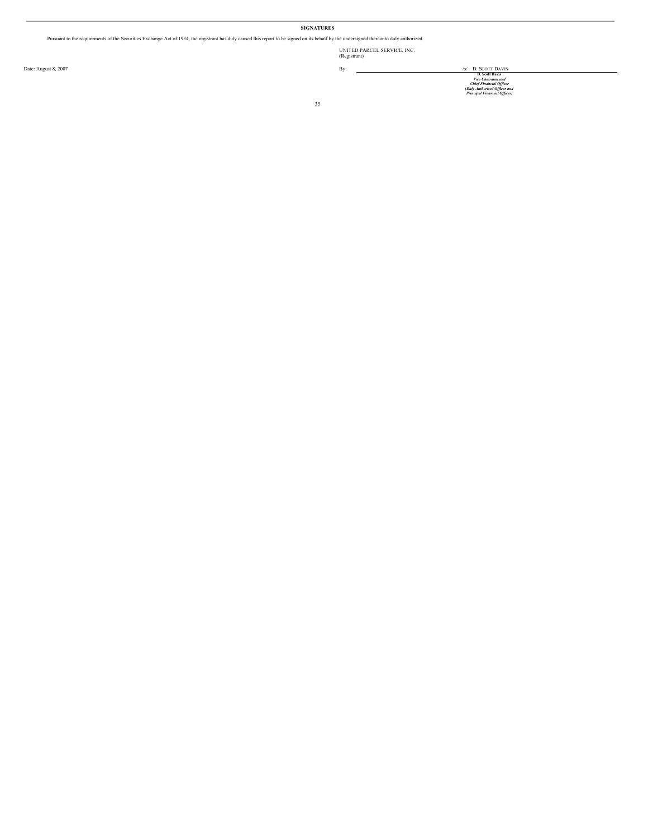#### **SIGNATURES**

Pursuant to the requirements of the Securities Exchange Act of 1934, the registrant has duly caused this report to be signed on its behalf by the undersigned thereunto duly authorized.

UNITED PARCEL SERVICE, INC. (Registrant)

By: <br>Date: August 8, 2007<br>*Decolumina malla the Chalmation of the Chalmation of the Chalmation of the Chalmation of the Chalmation of the Chalmation of the Chalmation of the Chalmation of the Chalmation of the Chalmation o*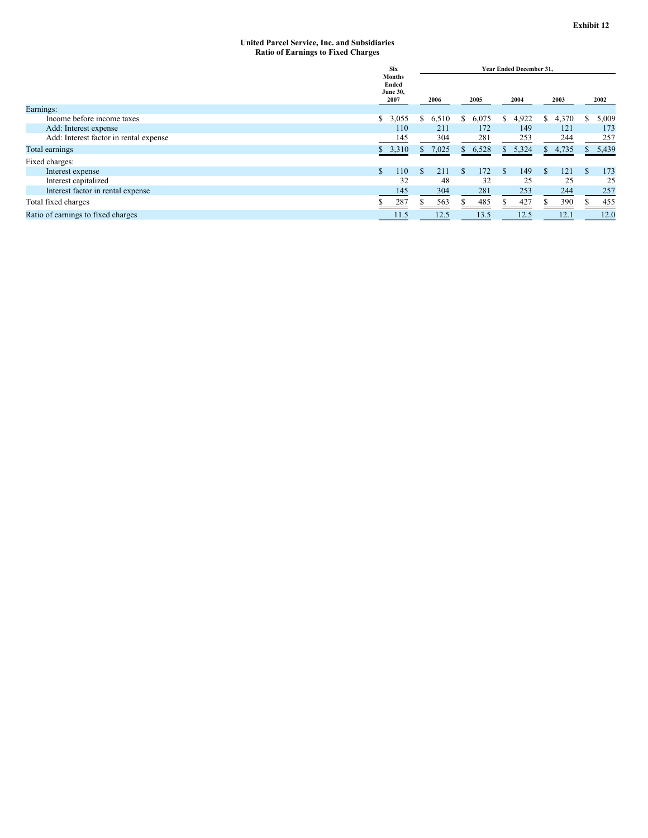#### **United Parcel Service, Inc. and Subsidiaries Ratio of Earnings to Fixed Charges**

|                                        | <b>Six</b>                                        |                       |             | <b>Year Ended December 31.</b> |             |             |
|----------------------------------------|---------------------------------------------------|-----------------------|-------------|--------------------------------|-------------|-------------|
|                                        | <b>Months</b><br>Ended<br><b>June 30,</b><br>2007 | 2006                  | 2005        | 2004                           | 2003        | 2002        |
| Earnings:                              |                                                   |                       |             |                                |             |             |
| Income before income taxes             | \$3,055                                           | 6,510<br><sup>S</sup> | 6,075<br>S. | 4,922<br>\$                    | 4,370<br>\$ | 5,009<br>S. |
| Add: Interest expense                  | 110                                               | 211                   | 172         | 149                            | 121         | 173         |
| Add: Interest factor in rental expense | 145                                               | 304                   | 281         | 253                            | 244         | 257         |
| Total earnings                         | \$3,310                                           | 7,025<br>S.           | 6,528<br>S. | 5,324<br>S.                    | \$4,735     | 5,439<br>S. |
| Fixed charges:                         |                                                   |                       |             |                                |             |             |
| Interest expense                       | 110                                               | 211                   | 172         | 149<br>S.                      | 121         | 173         |
| Interest capitalized                   | 32                                                | 48                    | 32          | 25                             | 25          | 25          |
| Interest factor in rental expense      | 145                                               | 304                   | 281         | 253                            | 244         | 257         |
| Total fixed charges                    | 287                                               | 563                   | 485         | 427                            | 390         | 455         |
| Ratio of earnings to fixed charges     | 11.5                                              | 12.5                  | 13.5        | 12.5                           | 12.1        | 12.0        |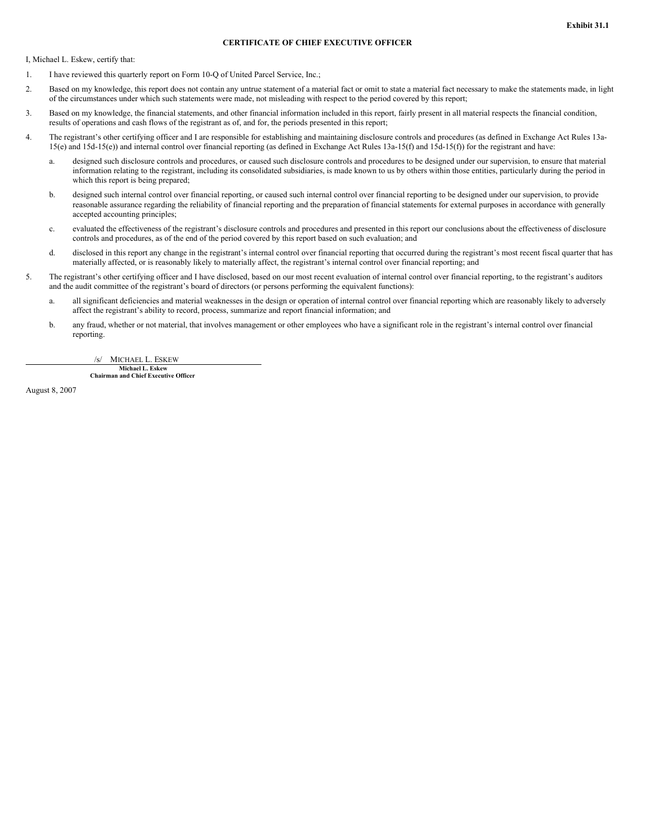### **CERTIFICATE OF CHIEF EXECUTIVE OFFICER**

I, Michael L. Eskew, certify that:

- 1. I have reviewed this quarterly report on Form 10-Q of United Parcel Service, Inc.;
- 2. Based on my knowledge, this report does not contain any untrue statement of a material fact or omit to state a material fact necessary to make the statements made, in light of the circumstances under which such statements were made, not misleading with respect to the period covered by this report;
- 3. Based on my knowledge, the financial statements, and other financial information included in this report, fairly present in all material respects the financial condition, results of operations and cash flows of the registrant as of, and for, the periods presented in this report;
- 4. The registrant's other certifying officer and I are responsible for establishing and maintaining disclosure controls and procedures (as defined in Exchange Act Rules 13a-15(e) and 15d-15(e)) and internal control over financial reporting (as defined in Exchange Act Rules 13a-15(f) and 15d-15(f)) for the registrant and have:
	- a. designed such disclosure controls and procedures, or caused such disclosure controls and procedures to be designed under our supervision, to ensure that material information relating to the registrant, including its consolidated subsidiaries, is made known to us by others within those entities, particularly during the period in which this report is being prepared;
	- b. designed such internal control over financial reporting, or caused such internal control over financial reporting to be designed under our supervision, to provide reasonable assurance regarding the reliability of financial reporting and the preparation of financial statements for external purposes in accordance with generally accepted accounting principles;
	- c. evaluated the effectiveness of the registrant's disclosure controls and procedures and presented in this report our conclusions about the effectiveness of disclosure controls and procedures, as of the end of the period covered by this report based on such evaluation; and
	- d. disclosed in this report any change in the registrant's internal control over financial reporting that occurred during the registrant's most recent fiscal quarter that has materially affected, or is reasonably likely to materially affect, the registrant's internal control over financial reporting; and
- 5. The registrant's other certifying officer and I have disclosed, based on our most recent evaluation of internal control over financial reporting, to the registrant's auditors and the audit committee of the registrant's board of directors (or persons performing the equivalent functions):
	- a. all significant deficiencies and material weaknesses in the design or operation of internal control over financial reporting which are reasonably likely to adversely affect the registrant's ability to record, process, summarize and report financial information; and
	- b. any fraud, whether or not material, that involves management or other employees who have a significant role in the registrant's internal control over financial reporting.

/s/ MICHAEL L. ESKEW

**Michael L. Eskew Chairman and Chief Executive Officer**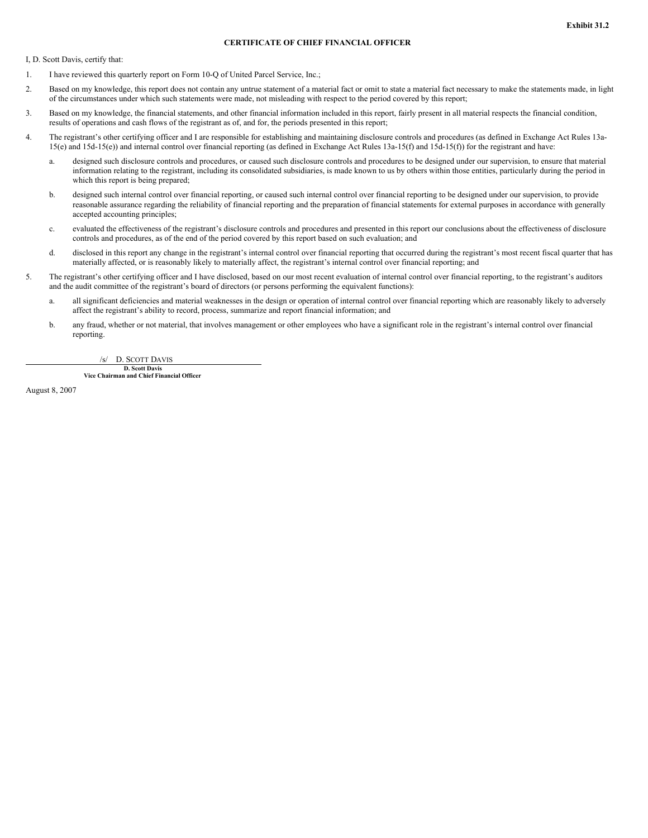#### **CERTIFICATE OF CHIEF FINANCIAL OFFICER**

I, D. Scott Davis, certify that:

- 1. I have reviewed this quarterly report on Form 10-Q of United Parcel Service, Inc.;
- 2. Based on my knowledge, this report does not contain any untrue statement of a material fact or omit to state a material fact necessary to make the statements made, in light of the circumstances under which such statements were made, not misleading with respect to the period covered by this report;
- 3. Based on my knowledge, the financial statements, and other financial information included in this report, fairly present in all material respects the financial condition, results of operations and cash flows of the registrant as of, and for, the periods presented in this report;
- 4. The registrant's other certifying officer and I are responsible for establishing and maintaining disclosure controls and procedures (as defined in Exchange Act Rules 13a-15(e) and 15d-15(e)) and internal control over financial reporting (as defined in Exchange Act Rules 13a-15(f) and 15d-15(f)) for the registrant and have:
	- a. designed such disclosure controls and procedures, or caused such disclosure controls and procedures to be designed under our supervision, to ensure that material information relating to the registrant, including its consolidated subsidiaries, is made known to us by others within those entities, particularly during the period in which this report is being prepared;
	- b. designed such internal control over financial reporting, or caused such internal control over financial reporting to be designed under our supervision, to provide reasonable assurance regarding the reliability of financial reporting and the preparation of financial statements for external purposes in accordance with generally accepted accounting principles;
	- c. evaluated the effectiveness of the registrant's disclosure controls and procedures and presented in this report our conclusions about the effectiveness of disclosure controls and procedures, as of the end of the period covered by this report based on such evaluation; and
	- d. disclosed in this report any change in the registrant's internal control over financial reporting that occurred during the registrant's most recent fiscal quarter that has materially affected, or is reasonably likely to materially affect, the registrant's internal control over financial reporting; and
- 5. The registrant's other certifying officer and I have disclosed, based on our most recent evaluation of internal control over financial reporting, to the registrant's auditors and the audit committee of the registrant's board of directors (or persons performing the equivalent functions):
	- a. all significant deficiencies and material weaknesses in the design or operation of internal control over financial reporting which are reasonably likely to adversely affect the registrant's ability to record, process, summarize and report financial information; and
	- b. any fraud, whether or not material, that involves management or other employees who have a significant role in the registrant's internal control over financial reporting.

/s/ D. SCOTT DAVIS

**D. Scott Davis Vice Chairman and Chief Financial Officer**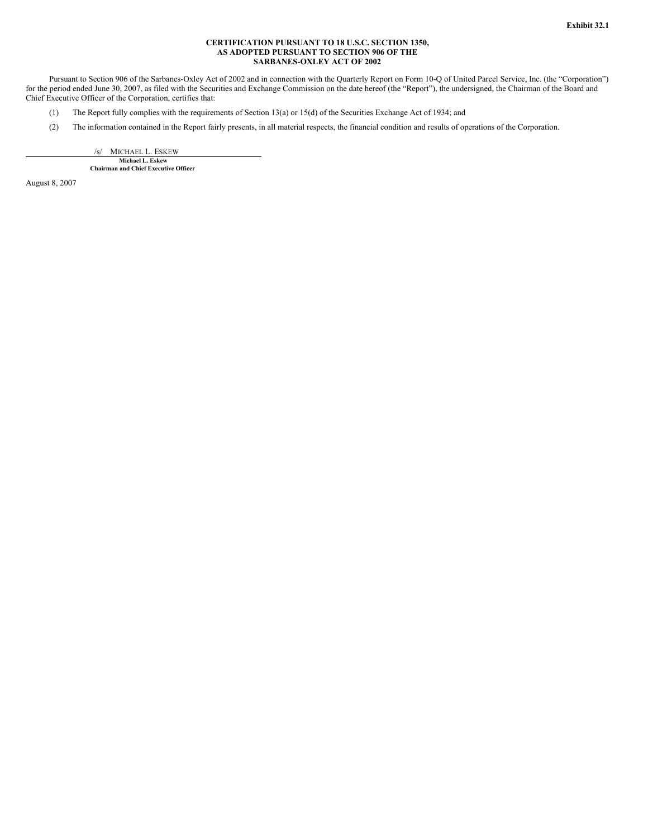#### **CERTIFICATION PURSUANT TO 18 U.S.C. SECTION 1350, AS ADOPTED PURSUANT TO SECTION 906 OF THE SARBANES-OXLEY ACT OF 2002**

Pursuant to Section 906 of the Sarbanes-Oxley Act of 2002 and in connection with the Quarterly Report on Form 10-Q of United Parcel Service, Inc. (the "Corporation") for the period ended June 30, 2007, as filed with the Securities and Exchange Commission on the date hereof (the "Report"), the undersigned, the Chairman of the Board and Chief Executive Officer of the Corporation, certifies that:

- (1) The Report fully complies with the requirements of Section 13(a) or 15(d) of the Securities Exchange Act of 1934; and
- (2) The information contained in the Report fairly presents, in all material respects, the financial condition and results of operations of the Corporation.

/s/ MICHAEL L. ESKEW **Michael L. Eskew Chairman and Chief Executive Officer**